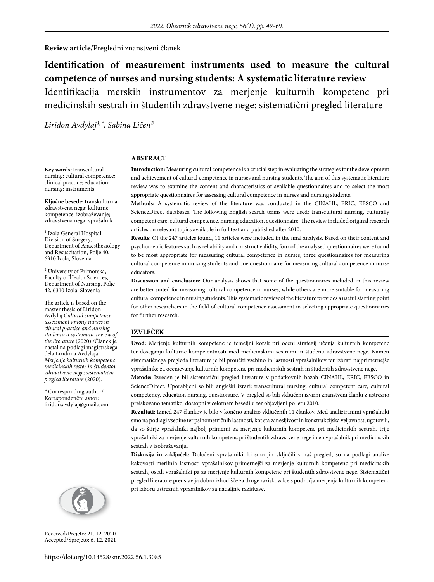#### **Review article**/Pregledni znanstveni članek

# **Identification of measurement instruments used to measure the cultural competence of nurses and nursing students: A systematic literature review** Identifikacija merskih instrumentov za merjenje kulturnih kompetenc pri medicinskih sestrah in študentih zdravstvene nege: sistematični pregled literature

Liridon Avdylaj<sup>1,</sup>\*, Sabina Ličen<sup>2</sup>

#### **ABSTRACT**

**Key words:** transcultural nursing; cultural competence; clinical practice; education; nursing; instruments

**Ključne besede:** transkulturna zdravstvena nega; kulturne kompetence; izobraževanje; zdravstvena nega; vprašalnik

<sup>1</sup> Izola General Hospital, Division of Surgery, Department of Anaesthesiology and Resuscitation, Polje 40, 6310 Izola, Slovenia

² University of Primorska, Faculty of Health Sciences, Department of Nursing, Polje 42, 6310 Izola, Slovenia

The article is based on the master thesis of Liridon Avdylaj *Cultural competence assessment among nurses in clinical practice and nursing students: a systematic review of the literature* (2020)./Članek je nastal na podlagi magistrskega dela Liridona Avdylaja *Merjenje kulturnih kompetenc medicinskih sester in študentov zdravstvene nege; sistematični pregled literature* (2020).

*\** Corresponding author/ Korespondenčni avtor: liridon.avdylaj@gmail.com



**Methods:** A systematic review of the literature was conducted in the CINAHL, ERIC, EBSCO and ScienceDirect databases. The following English search terms were used: transcultural nursing, culturally competent care, cultural competence, nursing education, questionnaire. The review included original research articles on relevant topics available in full text and published after 2010.

**Results:** Of the 247 articles found, 11 articles were included in the final analysis. Based on their content and psychometric features such as reliability and construct validity, four of the analysed questionnaires were found to be most appropriate for measuring cultural competence in nurses, three questionnaires for measuring cultural competence in nursing students and one questionnaire for measuring cultural competence in nurse educators.

**Discussion and conclusion:** Our analysis shows that some of the questionnaires included in this review are better suited for measuring cultural competence in nurses, while others are more suitable for measuring cultural competence in nursing students. This systematic review of the literature provides a useful starting point for other researchers in the field of cultural competence assessment in selecting appropriate questionnaires for further research.

#### **IZVLEČEK**

**Uvod:** Merjenje kulturnih kompetenc je temeljni korak pri oceni strategij učenja kulturnih kompetenc ter doseganju kulturne kompetentnosti med medicinskimi sestrami in študenti zdravstvene nege. Namen sistematičnega pregleda literature je bil proučiti vsebino in lastnosti vprašalnikov ter izbrati najprimernejše vprašalnike za ocenjevanje kulturnih kompetenc pri medicinskih sestrah in študentih zdravstvene nege.

**Metode:** Izveden je bil sistematični pregled literature v podatkovnih bazah CINAHL, ERIC, EBSCO in ScienceDirect. Uporabljeni so bili angleški izrazi: transcultural nursing, cultural competent care, cultural competency, education nursing, questionaire. V pregled so bili vključeni izvirni znanstveni članki z ustrezno preiskovano tematiko, dostopni v celotnem besedilu ter objavljeni po letu 2010.

**Rezultati:** Izmed 247 člankov je bilo v končno analizo vključenih 11 člankov. Med analiziranimi vprašalniki smo na podlagi vsebine ter psihometričnih lastnosti, kot sta zanesljivost in konstrukcijska veljavnost, ugotovili, da so štirje vprašalniki najbolj primerni za merjenje kulturnih kompetenc pri medicinskih sestrah, trije vprašalniki za merjenje kulturnih kompetenc pri študentih zdravstvene nege in en vprašalnik pri medicinskih sestrah v izobraževanju.

**Diskusija in zaključek:** Določeni vprašalniki, ki smo jih vključili v naš pregled, so na podlagi analize kakovosti merilnih lastnosti vprašalnikov primernejši za merjenje kulturnih kompetenc pri medicinskih sestrah, ostali vprašalniki pa za merjenje kulturnih kompetenc pri študentih zdravstvene nege. Sistematični pregled literature predstavlja dobro izhodišče za druge raziskovalce s področja merjenja kulturnih kompetenc pri izboru ustreznih vprašalnikov za nadaljnje raziskave.



Received/Prejeto: 21. 12. 2020 Accepted/Sprejeto: 6. 12. 2021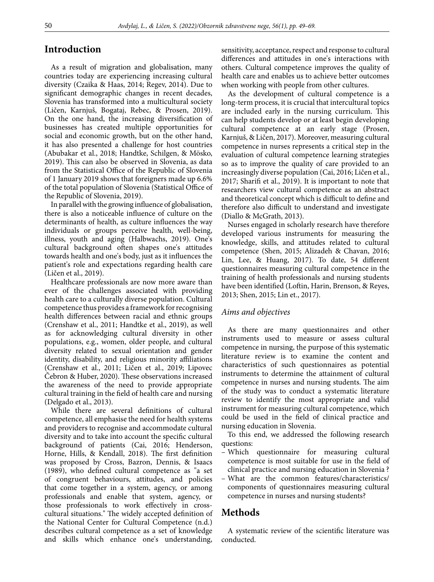# **Introduction**

As a result of migration and globalisation, many countries today are experiencing increasing cultural diversity (Czaika & Haas, 2014; Regev, 2014). Due to significant demographic changes in recent decades, Slovenia has transformed into a multicultural society (Ličen, Karnjuš, Bogataj, Rebec, & Prosen, 2019). On the one hand, the increasing diversification of businesses has created multiple opportunities for social and economic growth, but on the other hand, it has also presented a challenge for host countries (Abubakar et al., 2018; Handtke, Schilgen, & Mösko, 2019). This can also be observed in Slovenia, as data from the Statistical Office of the Republic of Slovenia of 1 January 2019 shows that foreigners made up 6.6% of the total population of Slovenia (Statistical Office of the Republic of Slovenia, 2019).

In parallel with the growing influence of globalisation, there is also a noticeable influence of culture on the determinants of health, as culture influences the way individuals or groups perceive health, well-being, illness, youth and aging (Halbwachs, 2019). One's cultural background often shapes one's attitudes towards health and one's body, just as it influences the patient's role and expectations regarding health care (Ličen et al., 2019).

Healthcare professionals are now more aware than ever of the challenges associated with providing health care to a culturally diverse population. Cultural competence thus provides a framework for recognising health differences between racial and ethnic groups (Crenshaw et al., 2011; Handtke et al., 2019), as well as for acknowledging cultural diversity in other populations, e.g., women, older people, and cultural diversity related to sexual orientation and gender identity, disability, and religious minority affiliations (Crenshaw et al., 2011; Ličen et al., 2019; Lipovec Čebron & Huber, 2020). These observations increased the awareness of the need to provide appropriate cultural training in the field of health care and nursing (Delgado et al., 2013).

While there are several definitions of cultural competence, all emphasise the need for health systems and providers to recognise and accommodate cultural diversity and to take into account the specific cultural background of patients (Cai, 2016; Henderson, Horne, Hills, & Kendall, 2018). The first definition was proposed by Cross, Bazron, Dennis, & Isaacs (1989), who defined cultural competence as "a set of congruent behaviours, attitudes, and policies that come together in a system, agency, or among professionals and enable that system, agency, or those professionals to work effectively in crosscultural situations." The widely accepted definition of the National Center for Cultural Competence (n.d.) describes cultural competence as a set of knowledge and skills which enhance one's understanding, sensitivity, acceptance, respect and response to cultural differences and attitudes in one's interactions with others. Cultural competence improves the quality of health care and enables us to achieve better outcomes when working with people from other cultures.

As the development of cultural competence is a long-term process, it is crucial that intercultural topics are included early in the nursing curriculum. This can help students develop or at least begin developing cultural competence at an early stage (Prosen, Karnjuš, & Ličen, 2017). Moreover, measuring cultural competence in nurses represents a critical step in the evaluation of cultural competence learning strategies so as to improve the quality of care provided to an increasingly diverse population (Cai, 2016; Ličen et al., 2017; Sharifi et al., 2019). It is important to note that researchers view cultural competence as an abstract and theoretical concept which is difficult to define and therefore also difficult to understand and investigate (Diallo & McGrath, 2013).

Nurses engaged in scholarly research have therefore developed various instruments for measuring the knowledge, skills, and attitudes related to cultural competence (Shen, 2015; Alizadeh & Chavan, 2016; Lin, Lee, & Huang, 2017). To date, 54 different questionnaires measuring cultural competence in the training of health professionals and nursing students have been identified (Loftin, Harin, Brenson, & Reyes, 2013; Shen, 2015; Lin et., 2017).

#### *Aims and objectives*

As there are many questionnaires and other instruments used to measure or assess cultural competence in nursing, the purpose of this systematic literature review is to examine the content and characteristics of such questionnaires as potential instruments to determine the attainment of cultural competence in nurses and nursing students. The aim of the study was to conduct a systematic literature review to identify the most appropriate and valid instrument for measuring cultural competence, which could be used in the field of clinical practice and nursing education in Slovenia.

To this end, we addressed the following research questions:

- Which questionnaire for measuring cultural competence is most suitable for use in the field of clinical practice and nursing education in Slovenia ?
- What are the common features/characteristics/ components of questionnaires measuring cultural competence in nurses and nursing students?

# **Methods**

A systematic review of the scientific literature was conducted.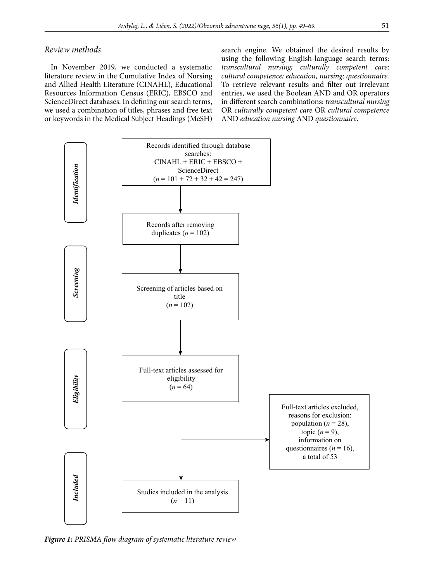#### *Review methods*

In November 2019, we conducted a systematic literature review in the Cumulative Index of Nursing and Allied Health Literature (CINAHL), Educational Resources Information Census (ERIC), EBSCO and ScienceDirect databases. In defining our search terms, we used a combination of titles, phrases and free text or keywords in the Medical Subject Headings (MeSH) search engine. We obtained the desired results by using the following English-language search terms: *transcultural nursing; culturally competent care; cultural competence; education, nursing; questionnaire.* To retrieve relevant results and filter out irrelevant entries, we used the Boolean AND and OR operators in different search combinations: *transcultural nursing* OR *culturally competent care* OR *cultural competence* AND *education nursing* AND *questionnaire*.



*Figure 1: PRISMA flow diagram of systematic literature review*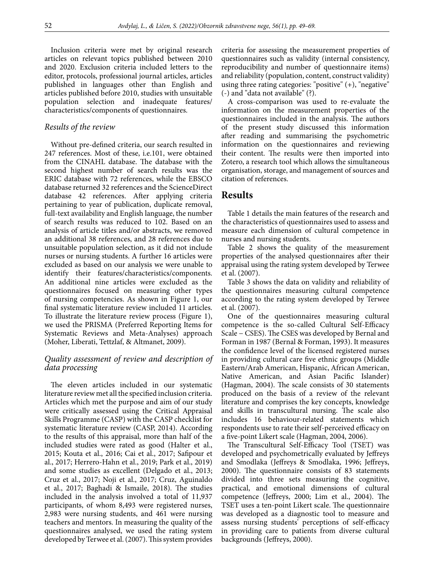Inclusion criteria were met by original research articles on relevant topics published between 2010 and 2020. Exclusion criteria included letters to the editor, protocols, professional journal articles, articles published in languages other than English and articles published before 2010, studies with unsuitable population selection and inadequate features/ characteristics/components of questionnaires.

#### *Results of the review*

Without pre-defined criteria, our search resulted in 247 references. Most of these, i.e.101, were obtained from the CINAHL database. The database with the second highest number of search results was the ERIC database with 72 references, while the EBSCO database returned 32 references and the ScienceDirect database 42 references. After applying criteria pertaining to year of publication, duplicate removal, full-text availability and English language, the number of search results was reduced to 102. Based on an analysis of article titles and/or abstracts, we removed an additional 38 references, and 28 references due to unsuitable population selection, as it did not include nurses or nursing students. A further 16 articles were excluded as based on our analysis we were unable to identify their features/characteristics/components. An additional nine articles were excluded as the questionnaires focused on measuring other types of nursing competencies. As shown in Figure 1, our final systematic literature review included 11 articles. To illustrate the literature review process (Figure 1), we used the PRISMA (Preferred Reporting Items for Systematic Reviews and Meta-Analyses) approach (Moher, Liberati, Tettzlaf, & Altmanet, 2009).

### *Quality assessment of review and description of data processing*

The eleven articles included in our systematic literature review met all the specified inclusion criteria. Articles which met the purpose and aim of our study were critically assessed using the Critical Appraisal Skills Programme (CASP) with the CASP checklist for systematic literature review (CASP, 2014). According to the results of this appraisal, more than half of the included studies were rated as good (Halter et al., 2015; Kouta et al., 2016; Cai et al., 2017; Safipour et al., 2017; Herrero-Hahn et al., 2019; Park et al., 2019) and some studies as excellent (Delgado et al., 2013; Cruz et al., 2017; Noji et al., 2017; Cruz, Aguinaldo et al., 2017; Baghadi & Ismaile, 2018). The studies included in the analysis involved a total of 11,937 participants, of whom 8,493 were registered nurses, 2,983 were nursing students, and 461 were nursing teachers and mentors. In measuring the quality of the questionnaires analysed, we used the rating system developed by Terwee et al. (2007). This system provides criteria for assessing the measurement properties of questionnaires such as validity (internal consistency, reproducibility and number of questionnaire items) and reliability (population, content, construct validity) using three rating categories: "positive"  $(+)$ , "negative" (-) and "data not available" (?).

A cross-comparison was used to re-evaluate the information on the measurement properties of the questionnaires included in the analysis. The authors of the present study discussed this information after reading and summarising the psychometric information on the questionnaires and reviewing their content. The results were then imported into Zotero, a research tool which allows the simultaneous organisation, storage, and management of sources and citation of references.

### **Results**

Table 1 details the main features of the research and the characteristics of questionnaires used to assess and measure each dimension of cultural competence in nurses and nursing students.

Table 2 shows the quality of the measurement properties of the analysed questionnaires after their appraisal using the rating system developed by Terwee et al. (2007).

Table 3 shows the data on validity and reliability of the questionnaires measuring cultural competence according to the rating system developed by Terwee et al. (2007).

One of the questionnaires measuring cultural competence is the so-called Cultural Self-Efficacy Scale − CSES). The CSES was developed by Bernal and Forman in 1987 (Bernal & Forman, 1993). It measures the confidence level of the licensed registered nurses in providing cultural care five ethnic groups (Middle Eastern/Arab American, Hispanic, African American, Native American, and Asian Pacific Islander) (Hagman, 2004). The scale consists of 30 statements produced on the basis of a review of the relevant literature and comprises the key concepts, knowledge and skills in transcultural nursing. The scale also includes 16 behaviour-related statements which respondents use to rate their self-perceived efficacy on a five-point Likert scale (Hagman, 2004, 2006).

The Transcultural Self-Efficacy Tool (TSET) was developed and psychometrically evaluated by Jeffreys and Smodlaka (Jeffreys & Smodlaka, 1996; Jeffreys, 2000). The questionnaire consists of 83 statements divided into three sets measuring the cognitive, practical, and emotional dimensions of cultural competence (Jeffreys, 2000; Lim et al., 2004). The TSET uses a ten-point Likert scale. The questionnaire was developed as a diagnostic tool to measure and assess nursing students' perceptions of self-efficacy in providing care to patients from diverse cultural backgrounds (Jeffreys, 2000).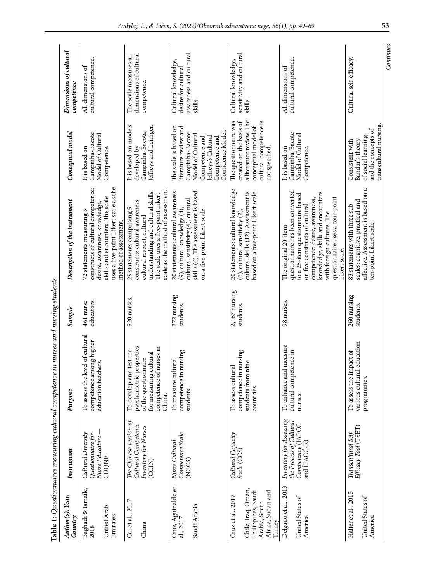|                                              |                                                            | Table 1: Questionnaires measuring cultural competence in nurses and nursing students   |                              |                                                                                                                                             |                                                                                                  |                                                                      |
|----------------------------------------------|------------------------------------------------------------|----------------------------------------------------------------------------------------|------------------------------|---------------------------------------------------------------------------------------------------------------------------------------------|--------------------------------------------------------------------------------------------------|----------------------------------------------------------------------|
| Author(s), Year,<br>Country                  | Instrument                                                 | Purpose                                                                                | Sample                       | Description of the instrument                                                                                                               | Conceptual model                                                                                 | Dimensions of cultural<br>competence                                 |
| Baghadi & Ismaile,<br>2018                   | Cultural Diversity<br>Questionnaire for<br>Nurse Educators | To assess the level of cultural<br>competence among higher<br>education teachers.      | educators.<br>461 nurse      | constructs of cultural competence:<br>desire, awareness, knowledge,<br>72 statements measuring 5                                            | Campinha-Bacote<br>Model of Cultural<br>It is based on                                           | cultural competence.<br>All dimensions of                            |
| United Arab<br>Emirates                      | CDQNE                                                      |                                                                                        |                              | uses a five-point Likert scale as the<br>skills and encounters. The scale<br>method of assessment.                                          | Competence.                                                                                      |                                                                      |
| Cai et al., 2017                             | The Chinese version of<br>Cultural Competence              | psychometric properties<br>To develop and test the                                     | 520 nurses.                  | constructs: cultural awareness,<br>29 statements comprising 5                                                                               | It is based on models<br>developed by                                                            | dimensions of cultural<br>The scale measures all                     |
| China                                        | Inventory for Nurses<br>(CCIN)                             | competence of nurses in<br>cultural<br>of the questionnaire<br>for measuring<br>China. |                              | scale as the method of assessment<br>understanding and cultural skills.<br>The scale uses a five-point Likert<br>cultural respect, cultural | leffreys and Leiniger.<br>Campinha-Bacota,                                                       | competence.                                                          |
| Cruz, Aguinaldo et<br>al., 2017              | Competence Scale<br>Nurse Cultural<br>(NCCS)               | competence in nursing<br>To measure cultural<br>students.                              | 272 nursing<br>students.     | 20 statements: cultural awareness<br>cultural sensitivity (4), cultural<br>(9), cultural knowledge (4),                                     | The scale is based on<br>literature review and<br>Campinha-Bacote                                | awareness and cultural<br>Cultural knowledge,<br>desire for cultural |
| Saudi Arabia                                 |                                                            |                                                                                        |                              | skills (6). The assessment is based<br>on a five-point Likert scale.                                                                        | Confidence Model<br>Model of Cultural<br>leffreys's Cultural<br>Competence and<br>Competence and | skills.                                                              |
| Cruz et al., 2017                            | Cultural Capacity<br>Scale (CCS)                           | competence in nursing<br>To assess cultural                                            | $2,167$ nursing<br>students. | 20 statements: cultural knowledge<br>$(6)$ , cultural sensitivity $(2)$                                                                     | The questionnaire was<br>created on the basis of                                                 | sensitivity and cultural<br>Cultural knowledge,                      |
| Chile, Iraq, Oman,<br>Philippines, Saudi     |                                                            | nine<br>students from<br>countries.                                                    |                              | based on a five-point Likert scale.<br>cultural skills (12). Assessment is                                                                  | a literature review. The<br>conceptual model of                                                  | skills.                                                              |
| Africa, Sudan and<br>Arabia, South<br>Turkey |                                                            |                                                                                        |                              |                                                                                                                                             | cultural competence is<br>not specified.                                                         |                                                                      |
| Delgado et al., 2013                         | Inventory for Assessing<br>the Process of Cultural         | To enhance and measure<br>cultural competence in                                       | 98 nurses.                   | questionnaire has been converted<br>The original 20-item                                                                                    | Campinha-Bacote<br>It is based on                                                                | cultural competence.<br>All dimensions of                            |
| United States of<br>America                  | Competency (IAPCC<br>and IPACC-R)                          | nurses.                                                                                |                              | to a 25-item questionnaire based<br>on five constructs of cultural                                                                          | Model of Cultural<br>Competence.                                                                 |                                                                      |
|                                              |                                                            |                                                                                        |                              | knowledge, skills and encounters<br>competence: desire, awareness,                                                                          |                                                                                                  |                                                                      |
|                                              |                                                            |                                                                                        |                              | questionnaire uses a four-point<br>with foreign cultures. The<br>Likert scale.                                                              |                                                                                                  |                                                                      |
| Halter et al., 2015                          | Efficacy Tool (TSET)<br>Transcultural Self-                | various cultural education<br>To assess the impact of                                  | 260 nursing<br>students.     | scales: cognitive, practical and<br>83 statements with three sub-                                                                           | Bandur's theory<br>Consistent with                                                               | Cultural self-efficacy.                                              |
| United States of<br>America                  |                                                            | programmes.                                                                            |                              | $\epsilon$<br>affective. Assessment is based on<br>ten-point Likert scale.                                                                  | transcultural nursing.<br>and the concepts of<br>of social learning                              |                                                                      |
|                                              |                                                            |                                                                                        |                              |                                                                                                                                             |                                                                                                  | Continues                                                            |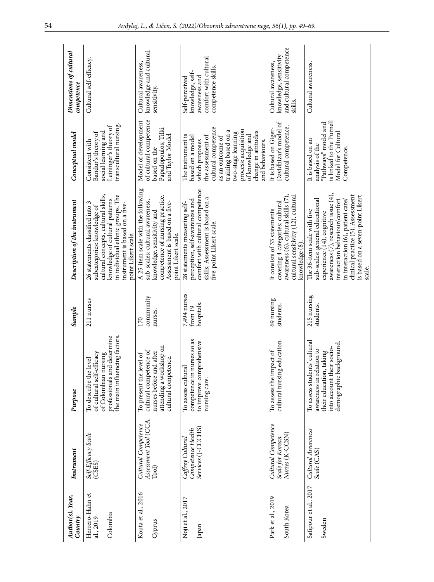| Author(s), Year,<br>Country              | Instrument                                                  | Purpose                                                                                                                                     | Sample                                | Description of the instrument                                                                                                                                                                                                                                                               | Conceptual model                                                                                                                                                                                                                                           | Dimensions of cultural<br>competence                                                               |
|------------------------------------------|-------------------------------------------------------------|---------------------------------------------------------------------------------------------------------------------------------------------|---------------------------------------|---------------------------------------------------------------------------------------------------------------------------------------------------------------------------------------------------------------------------------------------------------------------------------------------|------------------------------------------------------------------------------------------------------------------------------------------------------------------------------------------------------------------------------------------------------------|----------------------------------------------------------------------------------------------------|
| Herrero-Hahn et<br>Colombia<br>al., 2019 | Self-Efficacy Scale<br>(CSES)                               | professionals and determine<br>the main influencing factors.<br>of cultural self-efficacy<br>of Colombian nursing<br>To describe the level  | 211 nurses                            | cultural concepts, cultural skills,<br>in individual ethnic groups. The<br>knowledge of cultural patterns<br>26 statements classified into 3<br>instrument is based on a five-<br>subcategories: knowledge of<br>point Likert scale.                                                        | transcultural nursing.<br>Leininger's theory of<br>social learning and<br>Bandur's theory of<br>Consistent with                                                                                                                                            | Cultural self-efficacy.                                                                            |
| Kouta et al., 2016<br>Cyprus             | Assessment Tool (CCA<br>Cultural Competence<br>Tool)        | attending a workshop on<br>cultural competence.<br>cultural competence of<br>and after<br>To present the level of<br>nurses before          | community<br>nurses.<br>170           | A 25-item scale with the following<br>competence of nursing practice.<br>sub-scales: cultural awareness,<br>Assessment is based on a five-<br>knowledge, sensitivity and<br>point Likert scale.                                                                                             | of cultural competence<br>Model of development<br>Papadopoulos, Tilki<br>and Taylor Model.<br>based on the                                                                                                                                                 | knowledge and cultural<br>Cultural awareness,<br>sensitivity.                                      |
| Noji et al., 2017<br>Japan               | Services (J-CCCHS)<br>Competence Health<br>Caffrey Cultural | competence in nurses so as<br>to improve comprehensive<br>To assess cultural<br>nursing care.                                               | 7,494 nurses<br>hospitals.<br>from 19 | comfort with cultural competence<br>skills. Assessment is based on a<br>perception, self-awareness and<br>28 statements measuring self-<br>five-point Likert scale.                                                                                                                         | cultural competence<br>process: acquisition<br>training based on a<br>change in attitudes<br>two-stage learning<br>of knowledge and<br>The instrument is<br>the assessment of<br>based on a model<br>as an outcome of<br>which proposes<br>and behaviours. | comfort with cultural<br>competence skills.<br>knowledge, self-<br>awareness and<br>Self-perceived |
| Park et al., 2019<br>South Korea         | Cultural Competence<br>Nurses (K-CCSN)<br>Scale for Korean  | cultural nursing education<br>impact of<br>To assess the                                                                                    | 69 nursing<br>students.               | cultural sensitivity (12), cultural<br>awareness (6), cultural skills (7)<br>covering 4 categories: cultural<br>It consists of 33 statements<br>knowledge (8).                                                                                                                              | Davidhizar's model of<br>cultural competence.<br>It is based on Giger-                                                                                                                                                                                     | and cultural competence<br>knowledge, sensitivity<br>Cultural awareness,<br>skills.                |
| Safipour et al., 2017<br>Sweden          | Cultural Awareness<br>Scale (CAS)                           | To assess students' cultural<br>demographic background.<br>into account their socio-<br>awareness in relation to<br>their education, taking | 215 nursing<br>students.              | awareness (7), research issue (4),<br>clinical practice (5). Assessment<br>is based on a seven-point Likert<br>interaction behaviour/comfort<br>sub-scales: general educational<br>in interaction (6), patient care/<br>The 36-item scale with five<br>experience (14), cognitive<br>scale. | is linked to the Purnell<br>"Pathways" model and<br>Model for Cultura<br>It is based on an<br>analysis of the<br>Competence.                                                                                                                               | Cultural awareness.                                                                                |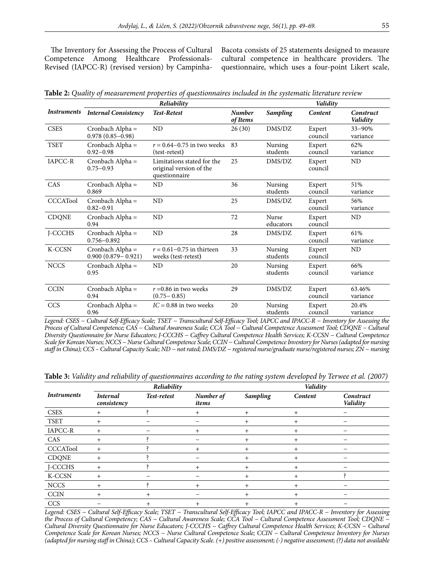The Inventory for Assessing the Process of Cultural Competence Among Healthcare Professionals-Revised (IAPCC-R) (revised version) by CampinhaBacota consists of 25 statements designed to measure cultural competence in healthcare providers. The questionnaire, which uses a four-point Likert scale,

|  |  |  |  |  |  |  |  |  |  |  |  |  | <b>Table 2:</b> Quality of measurement properties of questionnaires included in the systematic literature review $\,$ |  |
|--|--|--|--|--|--|--|--|--|--|--|--|--|-----------------------------------------------------------------------------------------------------------------------|--|
|--|--|--|--|--|--|--|--|--|--|--|--|--|-----------------------------------------------------------------------------------------------------------------------|--|

|                    |                                            | Reliability                                                            |                           |                     | Validity          |                       |
|--------------------|--------------------------------------------|------------------------------------------------------------------------|---------------------------|---------------------|-------------------|-----------------------|
| <i>Instruments</i> | <b>Internal Consistency</b>                | <b>Test-Retest</b>                                                     | <b>Number</b><br>of Items | <b>Sampling</b>     | Content           | Construct<br>Validity |
| <b>CSES</b>        | Cronbach Alpha =<br>$0.978(0.85 - 0.98)$   | ND                                                                     | 26(30)                    | DMS/DZ              | Expert<br>council | 33-90%<br>variance    |
| <b>TSET</b>        | Cronbach Alpha =<br>$0.92 - 0.98$          | $r = 0.64 - 0.75$ in two weeks<br>(test-retest)                        | 83                        | Nursing<br>students | Expert<br>council | 62%<br>variance       |
| IAPCC-R            | Cronbach Alpha =<br>$0.75 - 0.93$          | Limitations stated for the<br>original version of the<br>questionnaire | 25                        | DMS/DZ              | Expert<br>council | ND                    |
| CAS                | Cronbach Alpha =<br>0.869                  | ND                                                                     | 36                        | Nursing<br>students | Expert<br>council | 51%<br>variance       |
| <b>CCCATool</b>    | Cronbach Alpha =<br>$0.82 - 0.91$          | ND                                                                     | 25                        | DMS/DZ              | Expert<br>council | 56%<br>variance       |
| <b>CDQNE</b>       | Cronbach Alpha =<br>0.94                   | <b>ND</b>                                                              | 72                        | Nurse<br>educators  | Expert<br>council | ND                    |
| J-CCCHS            | Cronbach Alpha =<br>$0.756 - 0.892$        | ND                                                                     | 28                        | DMS/DZ              | Expert<br>council | 61%<br>variance       |
| K-CCSN             | Cronbach Alpha =<br>$0.900(0.879 - 0.921)$ | $r = 0.61 - 0.75$ in thirteen<br>weeks (test-retest)                   | 33                        | Nursing<br>students | Expert<br>council | ND                    |
| <b>NCCS</b>        | Cronbach Alpha =<br>0.95                   | ND                                                                     | 20                        | Nursing<br>students | Expert<br>council | 66%<br>variance       |
| <b>CCIN</b>        | Cronbach Alpha =<br>0.94                   | $r = 0.86$ in two weeks<br>$(0.75 - 0.85)$                             | 29                        | DMS/DZ              | Expert<br>council | 63.46%<br>variance    |
| <b>CCS</b>         | Cronbach Alpha =<br>0.96                   | $IC = 0.88$ in two weeks                                               | 20                        | Nursing<br>students | Expert<br>council | 20.4%<br>variance     |

*Legend: CSES − Cultural Self-Efficacy Scale; TSET − Transcultural Self-Efficacy Tool; IAPCC and IPACC-R − Inventory for Assessing the Process of Cultural Competence; CAS − Cultural Awareness Scale; CCA Tool − Cultural Competence Assessment Tool; CDQNE − Cultural Diversity Questionnaire for Nurse Educators; J-CCCHS − Caffrey Cultural Competence Health Services; K-CCSN − Cultural Competence Scale for Korean Nurses; NCCS − Nurse Cultural Competence Scale; CCIN − Cultural Competence Inventory for Nurses (adapted for nursing staff in China); CCS – Cultural Capacity Scale; ND − not rated; DMS/DZ − registered nurse/graduate nurse/registered nurses; ZN − nursing*

**Table 3:** *Validity and reliability of questionnaires according to the rating system developed by Terwee et al. (2007)*

|                    |                                | Reliability |                    |                 | Validity       |                       |
|--------------------|--------------------------------|-------------|--------------------|-----------------|----------------|-----------------------|
| <i>Instruments</i> | <b>Internal</b><br>consistency | Test-retest | Number of<br>items | <b>Sampling</b> | Content        | Construct<br>Validity |
| <b>CSES</b>        | $^{+}$                         |             | $^+$               | $^{+}$          | $^{+}$         |                       |
| <b>TSET</b>        | $\pm$                          |             |                    | $^+$            | $\overline{+}$ |                       |
| IAPCC-R            |                                |             | $^+$               | $\pm$           | $+$            |                       |
| CAS                | $^{+}$                         |             |                    | $\pm$           | $^{+}$         |                       |
| <b>CCCATool</b>    | $+$                            |             | +                  | $\pm$           | $+$            |                       |
| <b>CDQNE</b>       |                                |             |                    | $\pm$           | $+$            |                       |
| J-CCCHS            | $^{+}$                         |             | $\ddot{}$          | $\hbox{ }$      | $^{+}$         |                       |
| K-CCSN             |                                |             |                    | $\hbox{ }$      | $+$            |                       |
| <b>NCCS</b>        |                                |             | $^+$               | $\mathrm{+}$    | $^{+}$         |                       |
| <b>CCIN</b>        |                                | $^{+}$      |                    | $\hbox{ }$      | $\overline{+}$ |                       |
| CCS                |                                | $^{+}$      |                    |                 | $^+$           |                       |

*Legend: CSES − Cultural Self-Efficacy Scale; TSET − Transcultural Self-Efficacy Tool; IAPCC and IPACC-R − Inventory for Assessing the Process of Cultural Competency; CAS − Cultural Awareness Scale; CCA Tool − Cultural Competence Assessment Tool; CDQNE − Cultural Diversity Questionnaire for Nurse Educators; J-CCCHS − Caffrey Cultural Competence Health Services; K-CCSN − Cultural Competence Scale for Korean Nurses; NCCS − Nurse Cultural Competence Scale; CCIN − Cultural Competence Inventory for Nurses (adapted for nursing staff in China); CCS – Cultural Capacity Scale. (+) positive assessment; (-) negative assessment; (?) data not available*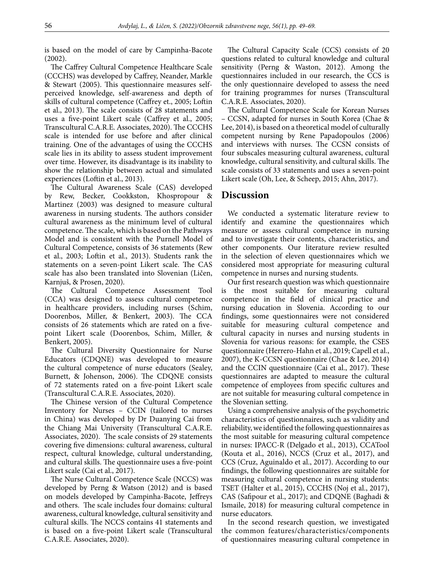is based on the model of care by Campinha-Bacote (2002).

The Caffrey Cultural Competence Healthcare Scale (CCCHS) was developed by Caffrey, Neander, Markle & Stewart (2005). This questionnaire measures selfperceived knowledge, self-awareness and depth of skills of cultural competence (Caffrey et., 2005; Loftin et al., 2013). The scale consists of 28 statements and uses a five-point Likert scale (Caffrey et al., 2005; Transcultural C.A.R.E. Associates, 2020). The CCCHS scale is intended for use before and after clinical training. One of the advantages of using the CCCHS scale lies in its ability to assess student improvement over time. However, its disadvantage is its inability to show the relationship between actual and simulated experiences (Loftin et al., 2013).

The Cultural Awareness Scale (CAS) developed by Rew, Becker, Cookkston, Khospropour & Martinez (2003) was designed to measure cultural awareness in nursing students. The authors consider cultural awareness as the minimum level of cultural competence. The scale, which is based on the Pathways Model and is consistent with the Purnell Model of Cultural Competence, consists of 36 statements (Rew et al., 2003; Loftin et al., 2013). Students rank the statements on a seven-point Likert scale. The CAS scale has also been translated into Slovenian (Ličen, Karnjuš, & Prosen, 2020).

The Cultural Competence Assessment Tool (CCA) was designed to assess cultural competence in healthcare providers, including nurses (Schim, Doorenbos, Miller, & Benkert, 2003). The CCA consists of 26 statements which are rated on a fivepoint Likert scale (Doorenbos, Schim, Miller, & Benkert, 2005).

The Cultural Diversity Questionnaire for Nurse Educators (CDQNE) was developed to measure the cultural competence of nurse educators (Sealey, Burnett, & Johenson, 2006). The CDQNE consists of 72 statements rated on a five-point Likert scale (Transcultural C.A.R.E. Associates, 2020).

The Chinese version of the Cultural Competence Inventory for Nurses – CCIN (tailored to nurses in China) was developed by Dr Duanying Cai from the Chiang Mai University (Transcultural C.A.R.E. Associates, 2020). The scale consists of 29 statements covering five dimensions: cultural awareness, cultural respect, cultural knowledge, cultural understanding, and cultural skills. The questionnaire uses a five-point Likert scale (Cai et al., 2017).

The Nurse Cultural Competence Scale (NCCS) was developed by Perng & Watson (2012) and is based on models developed by Campinha-Bacote, Jeffreys and others. The scale includes four domains: cultural awareness, cultural knowledge, cultural sensitivity and cultural skills. The NCCS contains 41 statements and is based on a five-point Likert scale (Transcultural C.A.R.E. Associates, 2020).

The Cultural Capacity Scale (CCS) consists of 20 questions related to cultural knowledge and cultural sensitivity (Perng & Waston, 2012). Among the questionnaires included in our research, the CCS is the only questionnaire developed to assess the need for training programmes for nurses (Transcultural C.A.R.E. Associates, 2020).

The Cultural Competence Scale for Korean Nurses – CCSN, adapted for nurses in South Korea (Chae & Lee, 2014), is based on a theoretical model of culturally competent nursing by Rene Papadopoulos (2006) and interviews with nurses. The CCSN consists of four subscales measuring cultural awareness, cultural knowledge, cultural sensitivity, and cultural skills. The scale consists of 33 statements and uses a seven-point Likert scale (Oh, Lee, & Scheep, 2015; Ahn, 2017).

### **Discussion**

We conducted a systematic literature review to identify and examine the questionnaires which measure or assess cultural competence in nursing and to investigate their contents, characteristics, and other components. Our literature review resulted in the selection of eleven questionnaires which we considered most appropriate for measuring cultural competence in nurses and nursing students.

Our first research question was which questionnaire is the most suitable for measuring cultural competence in the field of clinical practice and nursing education in Slovenia. According to our findings, some questionnaires were not considered suitable for measuring cultural competence and cultural capacity in nurses and nursing students in Slovenia for various reasons: for example, the CSES questionnaire (Herrero-Hahn et al., 2019; Capell et al., 2007), the K-CCSN questionnaire (Chae & Lee, 2014) and the CCIN questionnaire (Cai et al., 2017). These questionnaires are adapted to measure the cultural competence of employees from specific cultures and are not suitable for measuring cultural competence in the Slovenian setting.

Using a comprehensive analysis of the psychometric characteristics of questionnaires, such as validity and reliability, we identified the following questionnaires as the most suitable for measuring cultural competence in nurses: IPACC-R (Delgado et al., 2013), CCATool (Kouta et al., 2016), NCCS (Cruz et al., 2017), and CCS (Cruz, Aguinaldo et al., 2017). According to our findings, the following questionnaires are suitable for measuring cultural competence in nursing students: TSET (Halter et al., 2015), CCCHS (Noj et al., 2017), CAS (Safipour et al., 2017); and CDQNE (Baghadi & Ismaile, 2018) for measuring cultural competence in nurse educators.

In the second research question, we investigated the common features/characteristics/components of questionnaires measuring cultural competence in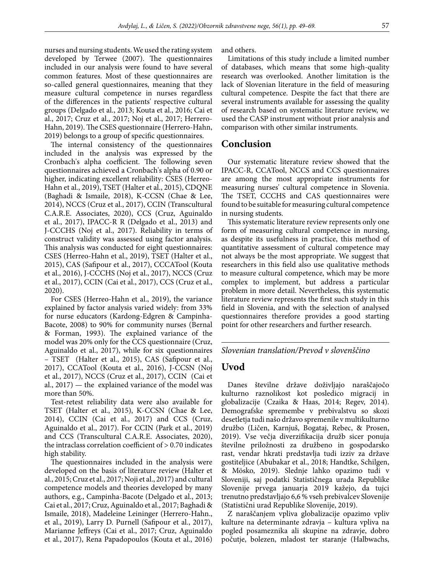nurses and nursing students. We used the rating system developed by Terwee (2007). The questionnaires included in our analysis were found to have several common features. Most of these questionnaires are so-called general questionnaires, meaning that they measure cultural competence in nurses regardless of the differences in the patients' respective cultural groups (Delgado et al., 2013; Kouta et al., 2016; Cai et al., 2017; Cruz et al., 2017; Noj et al., 2017; Herrero-Hahn, 2019). The CSES questionnaire (Herrero-Hahn, 2019) belongs to a group of specific questionnaires.

The internal consistency of the questionnaires included in the analysis was expressed by the Cronbach's alpha coefficient. The following seven questionnaires achieved a Cronbach's alpha of 0.90 or higher, indicating excellent reliability: CSES (Herreo-Hahn et al., 2019), TSET (Halter et al., 2015), CDQNE (Baghadi & Ismaile, 2018), K-CCSN (Chae & Lee, 2014), NCCS (Cruz et al., 2017), CCIN (Transcultural C.A.R.E. Associates, 2020), CCS (Cruz, Aguinaldo et al., 2017), IPACC-R R (Delgado et al., 2013) and J-CCCHS (Noj et al., 2017). Reliability in terms of construct validity was assessed using factor analysis. This analysis was conducted for eight questionnaires: CSES (Herreo-Hahn et al., 2019), TSET (Halter et al., 2015), CAS (Safipour et al., 2017), CCCATool (Kouta et al., 2016), J-CCCHS (Noj et al., 2017), NCCS (Cruz et al., 2017), CCIN (Cai et al., 2017), CCS (Cruz et al., 2020).

For CSES (Herreo-Hahn et al., 2019), the variance explained by factor analysis varied widely: from 33% for nurse educators (Kardong-Edgren & Campinha-Bacote, 2008) to 90% for community nurses (Bernal & Forman, 1993). The explained variance of the model was 20% only for the CCS questionnaire (Cruz, Aguinaldo et al., 2017), while for six questionnaires – TSET (Halter et al., 2015), CAS (Safipour et al., 2017), CCATool (Kouta et al., 2016), J-CCSN (Noj et al., 2017), NCCS (Cruz et al., 2017), CCIN (Cai et al., 2017) — the explained variance of the model was more than 50%.

Test-retest reliability data were also available for TSET (Halter et al., 2015), K-CCSN (Chae & Lee, 2014), CCIN (Cai et al., 2017) and CCS (Cruz, Aguinaldo et al., 2017). For CCIN (Park et al., 2019) and CCS (Transcultural C.A.R.E. Associates, 2020), the intraclass correlation coefficient of > 0.70 indicates high stability.

The questionnaires included in the analysis were developed on the basis of literature review (Halter et al., 2015; Cruz et al., 2017; Noji et al., 2017) and cultural competence models and theories developed by many authors, e.g., Campinha-Bacote (Delgado et al., 2013; Cai et al., 2017; Cruz, Aguinaldo et al., 2017; Baghadi & Ismaile, 2018), Madeleine Leininger (Herrero-Hahn., et al., 2019), Larry D. Purnell (Safipour et al., 2017), Marianne Jeffreys (Cai et al., 2017; Cruz, Aguinaldo et al., 2017), Rena Papadopoulos (Kouta et al., 2016)

and others.

Limitations of this study include a limited number of databases, which means that some high-quality research was overlooked. Another limitation is the lack of Slovenian literature in the field of measuring cultural competence. Despite the fact that there are several instruments available for assessing the quality of research based on systematic literature review, we used the CASP instrument without prior analysis and comparison with other similar instruments.

### **Conclusion**

Our systematic literature review showed that the IPACC-R, CCATool, NCCS and CCS questionnaires are among the most appropriate instruments for measuring nurses' cultural competence in Slovenia. The TSET, CCCHS and CAS questionnaires were found to be suitable for measuring cultural competence in nursing students.

This systematic literature review represents only one form of measuring cultural competence in nursing, as despite its usefulness in practice, this method of quantitative assessment of cultural competence may not always be the most appropriate. We suggest that researchers in this field also use qualitative methods to measure cultural competence, which may be more complex to implement, but address a particular problem in more detail. Nevertheless, this systematic literature review represents the first such study in this field in Slovenia, and with the selection of analysed questionnaires therefore provides a good starting point for other researchers and further research.

*Slovenian translation/Prevod v slovenščino*

## **Uvod**

Danes številne države doživljajo naraščajočo kulturno raznolikost kot posledico migracij in globalizacije (Czaika & Haas, 2014; Regev, 2014). Demografske spremembe v prebivalstvu so skozi desetletja tudi našo državo spremenile v multikulturno družbo (Ličen, Karnjuš, Bogataj, Rebec, & Prosen, 2019). Vse večja diverzifikacija družb sicer ponuja številne priložnosti za družbeno in gospodarsko rast, vendar hkrati predstavlja tudi izziv za države gostiteljice (Abubakar et al., 2018; Handtke, Schilgen, & Mösko, 2019). Slednje lahko opazimo tudi v Sloveniji, saj podatki Statističnega urada Republike Slovenije prvega januarja 2019 kažejo, da tujci trenutno predstavljajo 6,6 % vseh prebivalcev Slovenije (Statistični urad Republike Slovenije, 2019).

Z naraščanjem vpliva globalizacije opazimo vpliv kulture na determinante zdravja – kultura vpliva na pogled posameznika ali skupine na zdravje, dobro počutje, bolezen, mladost ter staranje (Halbwachs,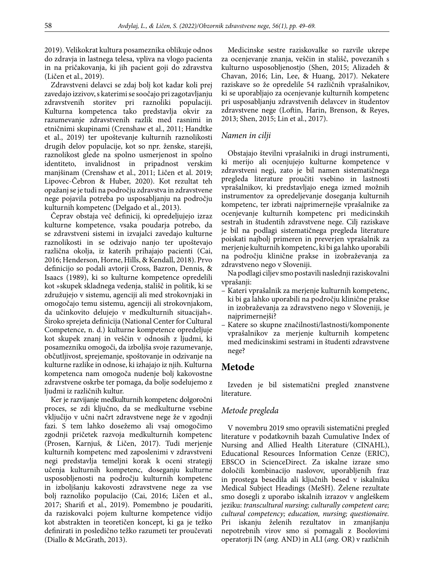2019). Velikokrat kultura posameznika oblikuje odnos do zdravja in lastnega telesa, vpliva na vlogo pacienta in na pričakovanja, ki jih pacient goji do zdravstva (Ličen et al., 2019).

Zdravstveni delavci se zdaj bolj kot kadar koli prej zavedajo izzivov, s katerimi se soočajo pri zagotavljanju zdravstvenih storitev pri raznoliki populaciji. Kulturna kompetenca tako predstavlja okvir za razumevanje zdravstvenih razlik med rasnimi in etničnimi skupinami (Crenshaw et al., 2011; Handtke et al., 2019) ter upoštevanje kulturnih raznolikosti drugih delov populacije, kot so npr. ženske, starejši, raznolikost glede na spolno usmerjenost in spolno identiteto, invalidnost in pripadnost verskim manjšinam (Crenshaw et al., 2011; Ličen et al. 2019; Lipovec-Čebron & Huber, 2020). Kot rezultat teh opažanj se je tudi na področju zdravstva in zdravstvene nege pojavila potreba po usposabljanju na področju kulturnih kompetenc (Delgado et al., 2013).

Čeprav obstaja več definicij, ki opredeljujejo izraz kulturne kompetence, vsaka poudarja potrebo, da se zdravstveni sistemi in izvajalci zavedajo kulturne raznolikosti in se odzivajo nanjo ter upoštevajo različna okolja, iz katerih prihajajo pacienti (Cai, 2016; Henderson, Horne, Hills, & Kendall, 2018). Prvo definicijo so podali avtorji Cross, Bazron, Dennis, & Isaacs (1989), ki so kulturne kompetence opredelili kot »skupek skladnega vedenja, stališč in politik, ki se združujejo v sistemu, agenciji ali med strokovnjaki in omogočajo temu sistemu, agenciji ali strokovnjakom, da učinkovito delujejo v medkulturnih situacijah«. Široko sprejeta definicija (National Center for Cultural Competence, n. d.) kulturne kompetence opredeljuje kot skupek znanj in veščin v odnosih z ljudmi, ki posamezniku omogoči, da izboljša svoje razumevanje, občutljivost, sprejemanje, spoštovanje in odzivanje na kulturne razlike in odnose, ki izhajajo iz njih. Kulturna kompetenca nam omogoča nudenje bolj kakovostne zdravstvene oskrbe ter pomaga, da bolje sodelujemo z ljudmi iz različnih kultur.

Ker je razvijanje medkulturnih kompetenc dolgoročni proces, se zdi ključno, da se medkulturne vsebine vključijo v učni načrt zdravstvene nege že v zgodnji fazi. S tem lahko dosežemo ali vsaj omogočimo zgodnji pričetek razvoja medkulturnih kompetenc (Prosen, Karnjuš, & Ličen, 2017). Tudi merjenje kulturnih kompetenc med zaposlenimi v zdravstveni negi predstavlja temeljni korak k oceni strategij učenja kulturnih kompetenc, doseganju kulturne usposobljenosti na področju kulturnih kompetenc in izboljšanju kakovosti zdravstvene nege za vse bolj raznoliko populacijo (Cai, 2016; Ličen et al., 2017; Sharifi et al., 2019). Pomembno je poudariti, da raziskovalci pojem kulturne kompetence vidijo kot abstrakten in teoretičen koncept, ki ga je težko definirati in posledično težko razumeti ter proučevati (Diallo & McGrath, 2013).

Medicinske sestre raziskovalke so razvile ukrepe za ocenjevanje znanja, veščin in stališč, povezanih s kulturno usposobljenostjo (Shen, 2015; Alizadeh & Chavan, 2016; Lin, Lee, & Huang, 2017). Nekatere raziskave so že opredelile 54 različnih vprašalnikov, ki se uporabljajo za ocenjevanje kulturnih kompetenc pri usposabljanju zdravstvenih delavcev in študentov zdravstvene nege (Loftin, Harin, Brenson, & Reyes, 2013; Shen, 2015; Lin et al., 2017).

#### *Namen in cilji*

Obstajajo številni vprašalniki in drugi instrumenti, ki merijo ali ocenjujejo kulturne kompetence v zdravstveni negi, zato je bil namen sistematičnega pregleda literature proučiti vsebino in lastnosti vprašalnikov, ki predstavljajo enega izmed možnih instrumentov za opredeljevanje doseganja kulturnih kompetenc, ter izbrati najprimernejše vprašalnike za ocenjevanje kulturnih kompetenc pri medicinskih sestrah in študentih zdravstvene nege. Cilj raziskave je bil na podlagi sistematičnega pregleda literature poiskati najbolj primeren in preverjen vprašalnik za merjenje kulturnih kompetenc, ki bi ga lahko uporabili na področju klinične prakse in izobraževanja za zdravstveno nego v Sloveniji.

Na podlagi ciljev smo postavili naslednji raziskovalni vprašanji:

- Kateri vprašalnik za merjenje kulturnih kompetenc, ki bi ga lahko uporabili na področju klinične prakse in izobraževanja za zdravstveno nego v Sloveniji, je najprimernejši?
- Katere so skupne značilnosti/lastnosti/komponente vprašalnikov za merjenje kulturnih kompetenc med medicinskimi sestrami in študenti zdravstvene nege?

# **Metode**

Izveden je bil sistematični pregled znanstvene literature.

### *Metode pregleda*

V novembru 2019 smo opravili sistematični pregled literature v podatkovnih bazah Cumulative Index of Nursing and Allied Health Literature (CINAHL), Educational Resources Information Cenze (ERIC), EBSCO in ScienceDirect. Za iskalne izraze smo določili kombinacijo naslovov, uporabljenih fraz in prostega besedila ali ključnih besed v iskalniku Medical Subject Headings (MeSH). Želene rezultate smo dosegli z uporabo iskalnih izrazov v angleškem jeziku: *transcultural nursing; culturally competent care; cultural competency; education, nursing; questionaire.* Pri iskanju želenih rezultatov in zmanjšanju nepotrebnih virov smo si pomagali z Boolovimi operatorji IN (*ang.* AND) in ALI (*ang.* OR) v različnih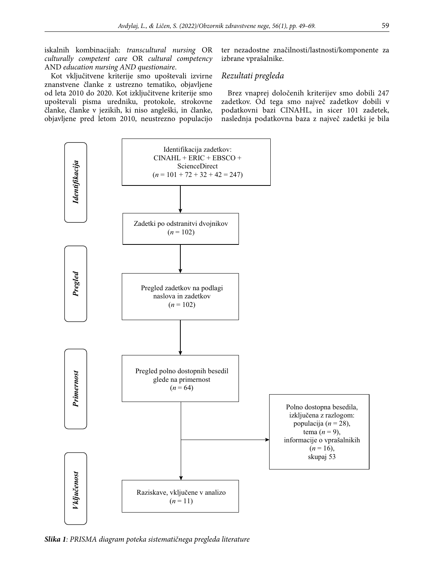iskalnih kombinacijah: *transcultural nursing* OR *culturally competent care* OR *cultural competency*  AND *education nursing AND questionaire*.

Kot vključitvene kriterije smo upoštevali izvirne znanstvene članke z ustrezno tematiko, objavljene od leta 2010 do 2020. Kot izključitvene kriterije smo upoštevali pisma uredniku, protokole, strokovne članke, članke v jezikih, ki niso angleški, in članke, objavljene pred letom 2010, neustrezno populacijo ter nezadostne značilnosti/lastnosti/komponente za izbrane vprašalnike.

### *Rezultati pregleda*

Brez vnaprej določenih kriterijev smo dobili 247 zadetkov. Od tega smo največ zadetkov dobili v podatkovni bazi CINAHL, in sicer 101 zadetek, naslednja podatkovna baza z največ zadetki je bila



*Slika 1: PRISMA diagram poteka sistematičnega pregleda literature*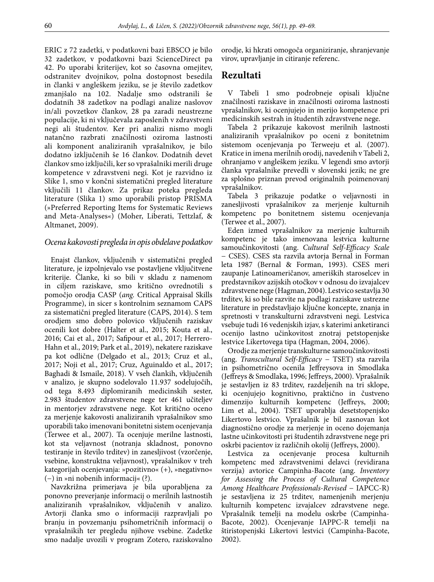ERIC z 72 zadetki, v podatkovni bazi EBSCO je bilo 32 zadetkov, v podatkovni bazi ScienceDirect pa 42. Po uporabi kriterijev, kot so časovna omejitev, odstranitev dvojnikov, polna dostopnost besedila in članki v angleškem jeziku, se je število zadetkov zmanjšalo na 102. Nadalje smo odstranili še dodatnih 38 zadetkov na podlagi analize naslovov in/ali povzetkov člankov, 28 pa zaradi neustrezne populacije, ki ni vključevala zaposlenih v zdravstveni negi ali študentov. Ker pri analizi nismo mogli natančno razbrati značilnosti oziroma lastnosti ali komponent analiziranih vprašalnikov, je bilo dodatno izključenih še 16 člankov. Dodatnih devet člankov smo izključili, ker so vprašalniki merili druge kompetence v zdravstveni negi. Kot je razvidno iz Slike 1, smo v končni sistematični pregled literature vključili 11 člankov. Za prikaz poteka pregleda literature (Slika 1) smo uporabili pristop PRISMA (»Preferred Reporting Items for Systematic Reviews and Meta-Analyses«) (Moher, Liberati, Tettzlaf, & Altmanet, 2009).

### *Ocena kakovosti pregleda in opis obdelave podatkov*

Enajst člankov, vključenih v sistematični pregled literature, je izpolnjevalo vse postavljene vključitvene kriterije. Članke, ki so bili v skladu z namenom in ciljem raziskave, smo kritično ovrednotili s pomočjo orodja CASP (*ang.* Critical Appraisal Skills Programme), in sicer s kontrolnim seznamom CAPS za sistematični pregled literature (CAPS, 2014). S tem orodjem smo dobro polovico vključenih raziskav ocenili kot dobre (Halter et al., 2015; Kouta et al., 2016; Cai et al., 2017; Safipour et al., 2017; Herrero-Hahn et al., 2019; Park et al., 2019), nekatere raziskave pa kot odlične (Delgado et al., 2013; Cruz et al., 2017; Noji et al., 2017; Cruz, Aguinaldo et al., 2017; Baghadi & Ismaile, 2018). V vseh člankih, vključenih v analizo, je skupno sodelovalo 11.937 sodelujočih, od tega 8.493 diplomiranih medicinskih sester, 2.983 študentov zdravstvene nege ter 461 učiteljev in mentorjev zdravstvene nege. Kot kritično oceno za merjenje kakovosti analiziranih vprašalnikov smo uporabili tako imenovani bonitetni sistem ocenjevanja (Terwee et al., 2007). Ta ocenjuje merilne lastnosti, kot sta veljavnost (notranja skladnost, ponovno testiranje in število trditev) in zanesljivost (vzorčenje, vsebine, konstruktna veljavnost), vprašalnikov v treh kategorijah ocenjevanja: »pozitivno« (+), »negativno« (−) in »ni nobenih informacij« (?).

Navzkrižna primerjava je bila uporabljena za ponovno preverjanje informacij o merilnih lastnostih analiziranih vprašalnikov, vključenih v analizo. Avtorji članka smo o informaciji razpravljali po branju in povzemanju psihometričnih informacij o vprašalnikih ter pregledu njihove vsebine. Zadetke smo nadalje uvozili v program Zotero, raziskovalno orodje, ki hkrati omogoča organiziranje, shranjevanje virov, upravljanje in citiranje referenc.

### **Rezultati**

V Tabeli 1 smo podrobneje opisali ključne značilnosti raziskave in značilnosti oziroma lastnosti vprašalnikov, ki ocenjujejo in merijo kompetence pri medicinskih sestrah in študentih zdravstvene nege.

Tabela 2 prikazuje kakovost merilnih lastnosti analiziranih vprašalnikov po oceni z bonitetnim sistemom ocenjevanja po Terweeju et al. (2007). Kratice in imena merilnih orodij, navedenih v Tabeli 2, ohranjamo v angleškem jeziku. V legendi smo avtorji članka vprašalnike prevedli v slovenski jezik; ne gre za splošno priznan prevod originalnih poimenovanj vprašalnikov.

Tabela 3 prikazuje podatke o veljavnosti in zanesljivosti vprašalnikov za merjenje kulturnih kompetenc po bonitetnem sistemu ocenjevanja (Terwee et al., 2007).

Eden izmed vprašalnikov za merjenje kulturnih kompetenc je tako imenovana lestvica kulturne samoučinkovitosti (ang. *Cultural Self-Efficacy Scale* − CSES). CSES sta razvila avtorja Bernal in Forman leta 1987 (Bernal & Forman, 1993). CSES meri zaupanje Latinoameričanov, ameriških staroselcev in predstavnikov azijskih otočkov v odnosu do izvajalcev zdravstvene nege (Hagman, 2004). Lestvico sestavlja 30 trditev, ki so bile razvite na podlagi raziskave ustrezne literature in predstavljajo ključne koncepte, znanja in spretnosti v transkulturni zdravstveni negi. Lestvica vsebuje tudi 16 vedenjskih izjav, s katerimi anketiranci ocenijo lastno učinkovitost znotraj petstopenjske lestvice Likertovega tipa (Hagman, 2004, 2006).

Orodje za merjenje transkulturne samoučinkovitosti (ang. *Transcultural Self-Efficacy* − TSET) sta razvila in psihometrično ocenila Jeffreysova in Smodlaka (Jeffreys & Smodlaka, 1996; Jeffreys, 2000). Vprašalnik je sestavljen iz 83 trditev, razdeljenih na tri sklope, ki ocenjujejo kognitivno, praktično in čustveno dimenzijo kulturnih kompetenc (Jeffreys, 2000; Lim et al., 2004). TSET uporablja desetstopenjsko Likertovo lestvico. Vprašalnik je bil zasnovan kot diagnostično orodje za merjenje in oceno dojemanja lastne učinkovitosti pri študentih zdravstvene nege pri oskrbi pacientov iz različnih okolij (Jeffreys, 2000).

Lestvica za ocenjevanje procesa kulturnih kompetenc med zdravstvenimi delavci (revidirana verzija) avtorice Campinha-Bacote (ang. *Inventory for Assessing the Process of Cultural Competence Among Healthcare Professionals-Revised* − IAPCC-R) je sestavljena iz 25 trditev, namenjenih merjenju kulturnih kompetenc izvajalcev zdravstvene nege. Vprašalnik temelji na modelu oskrbe (Campinha-Bacote, 2002). Ocenjevanje IAPPC-R temelji na štiristopenjski Likertovi lestvici (Campinha-Bacote, 2002).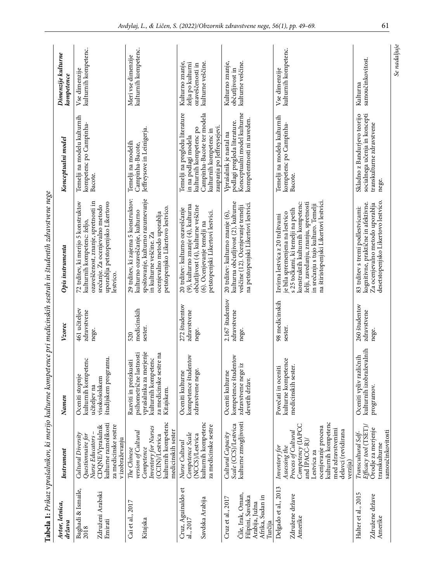|                                                                                                                    | Dimenzije kulturne<br>kompetence | kulturnih kompetenc.<br>Vse dimenzije                                                                                                                                                          | kulturnih kompetenc.<br>Meri vse dimenzije                                                                                                                                                                  | kulturne veščine.<br>Kulturno znanje,<br>želja po kulturni<br>ozaveščenosti in                                                                                                   | kulturne veščine.<br>Kulturno znanje,<br>občutljivost in                                                                                             | kulturnih kompetenc.<br>Vse dimenzije                                                                                                                                                                                                                                | samoučinkovitost.<br>Kulturna                                                                                                                      |
|--------------------------------------------------------------------------------------------------------------------|----------------------------------|------------------------------------------------------------------------------------------------------------------------------------------------------------------------------------------------|-------------------------------------------------------------------------------------------------------------------------------------------------------------------------------------------------------------|----------------------------------------------------------------------------------------------------------------------------------------------------------------------------------|------------------------------------------------------------------------------------------------------------------------------------------------------|----------------------------------------------------------------------------------------------------------------------------------------------------------------------------------------------------------------------------------------------------------------------|----------------------------------------------------------------------------------------------------------------------------------------------------|
|                                                                                                                    | Konceptualni model               | Temelji na modelu kulturnih<br>kompetenc po Campinha-<br>Bacote.                                                                                                                               | Jeffreysove in Leinigerja.<br>Temelji na modelih<br>Campinha-Bacote,                                                                                                                                        | Temelji na pregledu literature<br>Campinha-Bacote ter modela<br>zaupanja po Jeffreysejevi.<br>kulturnih kompetenc po<br>kulturnih kompetenc in<br>in na podlagi modela           | Konceptualni model kulturne<br>kompetentnosti ni naveden.<br>podlagi pregleda literature.<br>Vprašalnik je nastal na                                 | Temelji na modelu kulturnih<br>kompetenc po Campinha-<br>Bacote.                                                                                                                                                                                                     | socialnega učenja in koncepti<br>Skladno z Bandurjevo teorijo<br>transkulturne zdravstvene<br>nege.                                                |
| Tabela 1: Prikaz vprašalnikov, ki merijo kulturne kompetence pri medicinskih sestrah in študentih zdravstvene nege | Opis instrumenta                 | ozaveščenost, znanje, spretnosti in<br>uporablja petstopenjsko Likertovo<br>72 trditev, ki merijo 5 konstruktov<br>srečanje. Za ocenjevalno metodo<br>kulturnih kompetenc: željo,<br>lestvico. | spoštovanje, kulturno razumevanje<br>29 trditev, ki zajema 5 konstruktov:<br>petstopenjsko Likertovo lestvico.<br>kulturno ozaveščanje, kulturno<br>ocenjevalno metodo uporablja<br>in kulturne veščine. Za | (9), kulturno znanje (4), kulturna<br>občutljivost (4), kulturne veščine<br>20 trditev: kulturno ozaveščanje<br>petstopenjski Likertovi lestvici.<br>(6). Ocenjevanje temelji na | kulturna občutljivost (2), kulturne<br>na petstopenjski Likertovi lestvici.<br>veščine (12). Ocenjevanje temelji<br>20 trditev: kulturno znanje (6), | na štiristopenjski Likertovi lestvici.<br>konstruktih kulturnih kompetenc:<br>želji, zavedanju, znanju, spretnosti<br>in srečanju s tujo kulturo. Temelji<br>s 25 točkami, ki temelji na petih<br>je bila spremenjena na lestvico<br>Izvirna lestvica z 20 trditvami | desetstopenjsko Likertovo lestvico.<br>kognitivne, praktične in afektivne.<br>Za ocenjevalno metodo uporablja<br>83 trditev s tremi podlestvicami: |
|                                                                                                                    | Vzorec                           | 461 učiteljev<br>zdravstvene<br>nege.                                                                                                                                                          | medicinskih<br>sester.<br>520                                                                                                                                                                               | 272 študentov<br>zdravstvene<br>nege.                                                                                                                                            | 2.167 studentov<br>zdravstvene<br>nege.                                                                                                              | 98 medicinskih<br>sester                                                                                                                                                                                                                                             | 260 študentov<br>zdravstvene<br>nege.                                                                                                              |
|                                                                                                                    | Namen                            | študijskem programu.<br>kulturnih kompetenc<br>Oceniti stopnje<br>visokošolskem<br>učiteljev na                                                                                                | vprašalnika za merjenje<br>psihometrične lastnosti<br>za medicinske sestre na<br>kulturnih kompetenc<br>Razviti in preizkusiti<br>Kitajskem.                                                                | študentov<br>zdravstvene nege.<br>Oceniti kulturne<br>kompetence                                                                                                                 | kompetence študentov<br>zdravstvene nege iz<br>Oceniti kulturne<br>devetih držav.                                                                    | kulturne kompetence<br>sester.<br>Povečati in oceniti<br>medicinskih                                                                                                                                                                                                 | kulturnih izobraževalnih<br>različnih<br>Oceniti vpliv<br>programov.                                                                               |
|                                                                                                                    | Instrument                       | kulturne raznolikosti<br>za medicinske sestre<br>CDQNE/Vprašalnik<br>Nurse Educators -<br>Cultural Diversity<br>Questionnaire for<br>v izobraževanju                                           | kulturnih kompetenc<br>Inventory for Nurses<br>(CCIN)/Lestvica<br>medicinskih sester<br>version of Cultural<br>Competence<br>The Chinese                                                                    | kulturnih kompetenc<br>za medicinske sestre<br>Competence Scale<br>(NCCS)/Lestvica<br>Nurse Cultural                                                                             | kulturne zmogljivosti<br>Scale (CCS)/Lestvica<br>Cultural Capacity                                                                                   | kulturnih kompetenc<br>Competency (IAPCC<br>ocenjevanje procesa<br>med zdravstvenimi<br>delavci (revidirana<br>Process of Cultural<br>and IPACC-R)/<br>Assessing the<br>Inventory for<br>Lestvica za<br>verzija)                                                     | Efficacy tool (TSET),<br>Orodje za merjenje<br>Transcultural Self-<br>transkulturne                                                                |
|                                                                                                                    | Avtor, letnica,<br>država        | Baghadi & Ismaile,<br>Združeni Arabski<br>Emirati<br>2018                                                                                                                                      | Cai et al., 2017<br>Kitajska                                                                                                                                                                                | Cruz, Aguinaldo et<br>Savdska Arabija<br>al., 2017                                                                                                                               | Čile, Irak, Oman,<br>Filipini, Savdska<br>Afrika, Sudan in<br>Cruz et al., 2017<br>Arabija, Južna<br>Turčija                                         | Delgado et al., 2013<br>Združene države<br>Amerike                                                                                                                                                                                                                   | Združene države<br>Halter et al., 201<br>Amerike                                                                                                   |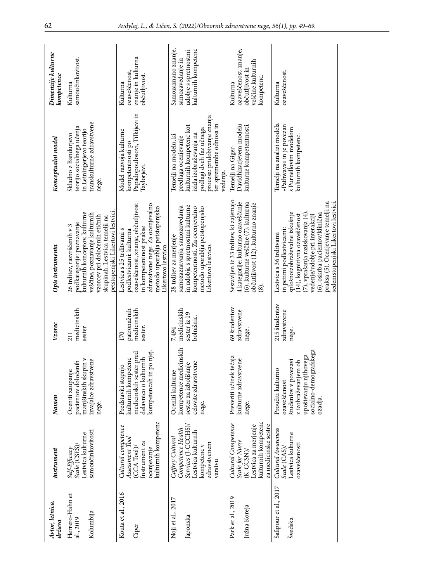| Avtor, letnica,<br>država                 | Instrument                                                                                                                   | Namen                                                                                                                                         | Vzorec                                             | Opis instrumenta                                                                                                                                                                                                                                                                                         | Konceptualni model                                                                                                                                                                                  | Dimenzije kulturne<br>kompetence                                                        |
|-------------------------------------------|------------------------------------------------------------------------------------------------------------------------------|-----------------------------------------------------------------------------------------------------------------------------------------------|----------------------------------------------------|----------------------------------------------------------------------------------------------------------------------------------------------------------------------------------------------------------------------------------------------------------------------------------------------------------|-----------------------------------------------------------------------------------------------------------------------------------------------------------------------------------------------------|-----------------------------------------------------------------------------------------|
| Herrero-Hahn et<br>Kolumbija<br>al., 2019 | samoučinkovitosti<br>Lestvica kulturne<br>Scale (CSES)<br>Self-Efficacy                                                      | manjšinskih skupin v<br>izvajalce zdravstvene<br>pacientov določenih<br>Oceniti zaupanje<br>nege.                                             | medicinskih<br>sestei<br>$\overline{211}$          | petstopenjski Likertovi lestvici.<br>kulturnih konceptov, kulturne<br>veščine, poznavanje kulturnih<br>vzorcev pri določenih etičnih<br>skupinah. Lestvica temelji na<br>podkategorije: poznavanje<br>26 trditev, razvrščenih v 3                                                                        | transkulturne zdravstvene<br>teorijo socialnega učenja<br>in Leiningerjevo teorijo<br>Skladno z Bandurjevo<br>nege.                                                                                 | samoučinkovitost.<br>Kulturna                                                           |
| Kouta et al., 2016<br>Ciper               | kulturnih kompetenc<br>Cultural competence<br>Assessment Tool<br>Instrument za<br>$(CCA~\text{Tool})/$<br>ocenjevanje        | in po njej.<br>medicinskih sester pred<br>kulturnih kompetenc<br>delavnico o kulturnih<br>Predstaviti stopnjo<br>kompetencah                  | patronažnih<br>medicinskih<br>sester<br>170        | zdravstvene nege. Za ocenjevalno<br>ozaveščenost, znanje, občutljivost<br>metodo uporablja petstopenjsko<br>in kompetentnost prakse<br>Lestvica s 25 trditvami s<br>podlestvicami: kulturna<br>Likertovo lestvico                                                                                        | Papadopoulosovi, Tilkijevi in<br>Model razvoja kulturne<br>kompetentnosti po<br>Taylorjevi                                                                                                          | znanje in kulturna<br>ozaveščenost<br>občutljivost<br>Kulturna                          |
| Noji et al., 2017<br>Japonska             | Services (J-CCCHS),<br>Competence Health<br>Lestvica kulturnih<br>Caffrey Cultural<br>zdravstvenem<br>kompetenc v<br>varstvu | kompetence medicinskih<br>celovite zdravstvene<br>ljšanje<br>Oceniti kulturne<br>sester za izbol<br>nege.                                     | medicinskih<br>sester iz 19<br>bolnišnic.<br>7.494 | in udobja s spretnostmi kulturne<br>samozaznavanja, samozavedanja<br>metodo uporablja petstopenjsko<br>kompetentnosti. Za ocenjevalno<br>28 trditev za merjenje<br>Likertovo lestvico                                                                                                                    | procesa: pridobivanje znanja<br>ter spremembe odnosa in<br>kulturnih kompetenc kot<br>podlagi dveh faz učnega<br>izida izobraževanja na<br>Temelji na modelu, ki<br>predlaga ocenjevanje<br>vedenia | Samozaznano znanje,<br>kulturnih kompetenc<br>udobje s spretnostmi<br>samozavedanje in  |
| Park et al., 2019<br>Južna Koreja         | kulturnih kompetenc<br>Cultural Competence<br>Lestvica za merjenje<br>za medicinske sestre<br>Scale for Nurse<br>$(K-CCSN)$  | Preveriti učinek tečaja<br>kulturne zdravstvene<br>nege.                                                                                      | 69 študentov<br>zdravstvene<br>nege.               | Sestavljen iz 33 trditev, ki zajemajo<br>4 kategorije: kulturno ozaveščanje<br>(6), kulturne veščine (7), kulturna<br>občutljivost (12), kulturno znanje<br>$\circledS$                                                                                                                                  | Davidhizarjevem modelu<br>kulturne kompetentnosti<br>Temelji na Giger-                                                                                                                              | ozaveščenost, znanje,<br>veščine kulturnih<br>občutljivost in<br>kompetenc.<br>Kulturna |
| Safipour et al., 2017<br>Švedska          | Cultural Awareness<br>Lestvica kulturne<br>ozaveščenosti<br>Scale (CAS)/                                                     | socialno-demografskega<br>upoštevanju njihovega<br>študentov v povezavi<br>z izobraževanjem ob<br>Proučiti kulturno<br>ozaveščenost<br>ozadja | 215 študentov<br>zdravstvene<br>nege.              | praksa (5). Ocenjevanje temelji na<br>sedemstopenjski Likertovi lestvici<br>(7), vprašanja raziskovanja (4),<br>splošnoizobraževalne izkušnje<br>(6), oskrba pacientov/klinična<br>vedenje/udobje pri interakciji<br>(14), kognitivna ozaveščenost<br>in petimi podlestvicami<br>Lestvica s 36 trditvami | Temelji na analizi modela<br>»Pathways« in je povezan<br>s Purnellovim modelom<br>kulturnih kompetenc                                                                                               | ozaveščenost.<br>Kulturna                                                               |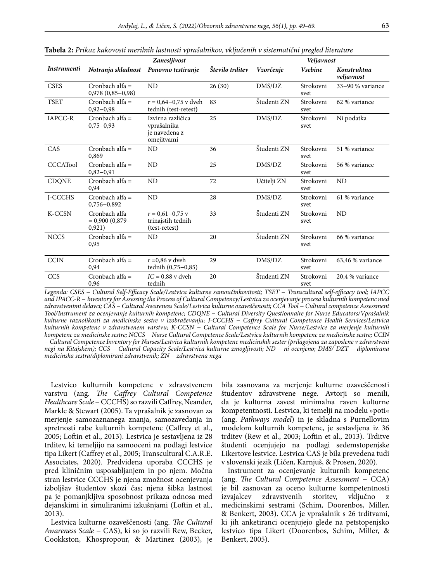|                    |                                               | Zanesljivost                                                    |                 |             | Veljavnost        |                           |
|--------------------|-----------------------------------------------|-----------------------------------------------------------------|-----------------|-------------|-------------------|---------------------------|
| <b>Instrumenti</b> | Notranja skladnost                            | Ponovno testiranje                                              | Število trditev | Vzorčenje   | <b>Vsebine</b>    | Konstruktna<br>veljavnost |
| <b>CSES</b>        | Cronbach alfa $=$<br>$0,978(0,85-0,98)$       | <b>ND</b>                                                       | 26(30)          | DMS/DZ      | Strokovni<br>svet | 33-90 % variance          |
| <b>TSET</b>        | Cronbach alfa =<br>$0,92-0,98$                | $r = 0.64 - 0.75$ v dveh<br>tednih (test-retest)                | 83              | Študenti ZN | Strokovni<br>svet | 62 % variance             |
| IAPCC-R            | Cronbach alfa $=$<br>$0,75-0,93$              | Izvirna različica<br>vprašalnika<br>je navedena z<br>omejitvami | 25              | DMS/DZ      | Strokovni<br>svet | Ni podatka                |
| CAS                | Cronbach alfa =<br>0,869                      | ND                                                              | 36              | Študenti ZN | Strokovni<br>svet | 51 % variance             |
| <b>CCCATool</b>    | Cronbach alfa $=$<br>$0,82-0,91$              | ND                                                              | 25              | DMS/DZ      | Strokovni<br>svet | 56 % variance             |
| <b>CDQNE</b>       | Cronbach alfa =<br>0,94                       | <b>ND</b>                                                       | 72              | Učitelji ZN | Strokovni<br>svet | <b>ND</b>                 |
| J-CCCHS            | Cronbach alfa =<br>$0,756 - 0,892$            | ND                                                              | 28              | DMS/DZ      | Strokovni<br>svet | 61 % variance             |
| <b>K-CCSN</b>      | Cronbach alfa<br>$= 0,900 (0,879 -$<br>0,921) | $r = 0.61 - 0.75$ v<br>trinajstih tednih<br>(test-retest)       | 33              | Študenti ZN | Strokovni<br>svet | <b>ND</b>                 |
| <b>NCCS</b>        | Cronbach alfa =<br>0,95                       | ND                                                              | 20              | Študenti ZN | Strokovni<br>svet | 66 % variance             |
| <b>CCIN</b>        | Cronbach alfa =<br>0.94                       | $r = 0.86$ v dveh<br>tednih (0,75-0,85)                         | 29              | DMS/DZ      | Strokovni<br>svet | 63,46 % variance          |
| CCS                | Cronbach alfa =<br>0,96                       | $IC = 0.88$ v dveh<br>tednih                                    | 20              | Študenti ZN | Strokovni<br>svet | 20,4 % variance           |

**Tabela 2:** *Prikaz kakovosti merilnih lastnosti vprašalnikov, vključenih v sistematični pregled literature*

*Legenda: CSES − Cultural Self-Efficacy Scale/Lestvica kulturne samoučinkovitosti; TSET − Transcultural self-efficacy tool; IAPCC and IPACC-R − Inventory for Assessing the Process of Cultural Competency/Lestvica za ocenjevanje procesa kulturnih kompetenc med zdravstvenimi delavci; CAS − Cultural Awareness Scale/Lestvica kulturne ozaveščenosti; CCA Tool − Cultural competence Assessment Tool/Instrument za ocenjevanje kulturnih kompetenc; CDQNE − Cultural Diversity Questionnaire for Nurse Educators/Vprašalnik kulturne raznolikosti za medicinske sestre v izobraževanju; J-CCCHS − Caffrey Cultural Competence Health Services/Lestvica kulturnih kompetenc v zdravstvenem varstvu; K-CCSN − Cultural Competence Scale for Nurse/Lestvice za merjenje kulturnih kompetenc za medicinske sestre; NCCS − Nurse Cultural Competence Scale/Lestvica kulturnih kompetenc za medicinske sestre; CCIN − Cultural Competence Inventory for Nurses/Lestvica kulturnih kompetenc medicinskih sester (prilagojena za zaposlene v zdravstveni negi na Kitajskem); CCS − Cultural Capacity Scale/Lestvica kulturne zmogljivosti; ND − ni ocenjeno; DMS/ DZT − diplomirana medicinska sestra/diplomirani zdravstvenik; ZN − zdravstvena nega*

Lestvico kulturnih kompetenc v zdravstvenem varstvu (ang. *The Caffrey Cultural Competence Healthcare Scale* − CCCHS) so razvili Caffrey, Neander, Markle & Stewart (2005). Ta vprašalnik je zasnovan za merjenje samozaznanega znanja, samozavedanja in spretnosti rabe kulturnih kompetenc (Caffrey et al., 2005; Loftin et al., 2013). Lestvica je sestavljena iz 28 trditev, ki temeljijo na samooceni na podlagi lestvice tipa Likert (Caffrey et al., 2005; Transcultural C.A.R.E. Associates, 2020). Predvidena uporaba CCCHS je pred kliničnim usposabljanjem in po njem. Močna stran lestvice CCCHS je njena zmožnost ocenjevanja izboljšav študentov skozi čas; njena šibka lastnost pa je pomanjkljiva sposobnost prikaza odnosa med dejanskimi in simuliranimi izkušnjami (Loftin et al., 2013).

Lestvica kulturne ozaveščenosti (ang. *The Cultural Awareness Scale* − CAS), ki so jo razvili Rew, Becker, Cookkston, Khospropour, & Martinez (2003), je bila zasnovana za merjenje kulturne ozaveščenosti študentov zdravstvene nege. Avtorji so menili, da je kulturna zavest minimalna raven kulturne kompetentnosti. Lestvica, ki temelji na modelu »poti« (ang. *Pathways model*) in je skladna s Purnellovim modelom kulturnih kompetenc, je sestavljena iz 36 trditev (Rew et al., 2003; Loftin et al., 2013). Trditve študenti ocenjujejo na podlagi sedemstopenjske Likertove lestvice. Lestvica CAS je bila prevedena tudi v slovenski jezik (Ličen, Karnjuš, & Prosen, 2020).

Instrument za ocenjevanje kulturnih kompetenc (ang. *The Cultural Competence Assessment* − CCA) je bil zasnovan za oceno kulturne kompetentnosti izvajalcev zdravstvenih storitev, vključno z medicinskimi sestrami (Schim, Doorenbos, Miller, & Benkert, 2003). CCA je vprašalnik s 26 trditvami, ki jih anketiranci ocenjujejo glede na petstopenjsko lestvico tipa Likert (Doorenbos, Schim, Miller, & Benkert, 2005).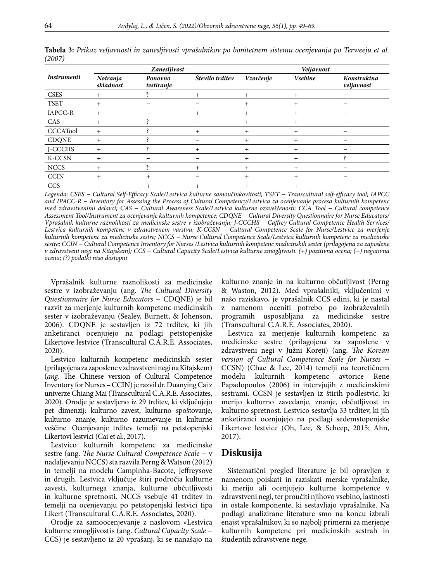|                    |                       | Zanesljivost          |                 |           | Veljavnost     |                           |
|--------------------|-----------------------|-----------------------|-----------------|-----------|----------------|---------------------------|
| <b>Instrumenti</b> | Notranja<br>skladnost | Ponovno<br>testiranje | Število trditev | Vzorčenje | <b>Vsebine</b> | Konstruktna<br>veljavnost |
| <b>CSES</b>        | $\ddot{}$             |                       | $^{+}$          | $^{+}$    | $^{+}$         |                           |
| <b>TSET</b>        | $^{+}$                |                       |                 | $^{+}$    | $^{+}$         |                           |
| IAPCC-R            | $^{+}$                |                       | $^+$            | $^{+}$    | $+$            |                           |
| CAS                | $\ddot{}$             |                       |                 | $\ddot{}$ | $^{+}$         |                           |
| <b>CCCATool</b>    | $^{+}$                |                       | $^{+}$          | $+$       | $^{+}$         |                           |
| <b>CDQNE</b>       | $^+$                  |                       |                 | $\ddot{}$ | $+$            |                           |
| J-CCCHS            | $^{+}$                |                       | $\ddot{}$       | $\ddot{}$ | $^{+}$         |                           |
| K-CCSN             | $^{+}$                |                       |                 | $\ddot{}$ | $+$            |                           |
| <b>NCCS</b>        |                       |                       | $^+$            | $\pm$     | $+$            |                           |
| <b>CCIN</b>        | $\mathrm{+}$          | $^{+}$                |                 | $\pm$     | $^{+}$         |                           |
| <b>CCS</b>         |                       | $\overline{+}$        |                 |           | $\overline{+}$ |                           |

**Tabela 3:** *Prikaz veljavnosti in zanesljivosti vprašalnikov po bonitetnem sistemu ocenjevanja po Terweeju et al. (2007)*

*Legenda: CSES − Cultural Self-Efficacy Scale/Lestvica kulturne samoučinkovitosti; TSET − Transcultural self-efficacy tool; IAPCC and IPACC-R − Inventory for Assessing the Process of Cultural Competency/Lestvica za ocenjevanje procesa kulturnih kompetenc med zdravstvenimi delavci; CAS − Cultural Awareness Scale/Lestvica kulturne ozaveščenosti; CCA Tool − Cultural competence Assessment Tool/Instrument za ocenjevanje kulturnih kompetence; CDQNE − Cultural Diversity Questionnaire for Nurse Educators/ Vprašalnik kulturne raznolikosti za medicinske sestre v izobraževanju; J-CCCHS − Caffrey Cultural Competence Health Services/ Lestvica kulturnih kompetenc v zdravstvenem varstvu; K-CCSN − Cultural Competence Scale for Nurse/Lestvice za merjenje kulturnih kompetenc za medicinske sestre; NCCS − Nurse Cultural Competence Scale/Lestvica kulturnih kompetenc za medicinske sestre; CCIN − Cultural Competence Inventory for Nurses /Lestvica kulturnih kompetenc medicinskih sester (prilagojena za zaposlene v zdravstveni negi na Kitajskem); CCS − Cultural Capacity Scale/Lestvica kulturne zmogljivosti. (+) pozitivna ocena; (−) negativna ocena; (?) podatki niso dostopni*

Vprašalnik kulturne raznolikosti za medicinske sestre v izobraževanju (ang. *The Cultural Diversity Questionnaire for Nurse Educators* − CDQNE) je bil razvit za merjenje kulturnih kompetenc medicinskih sester v izobraževanju (Sealey, Burnett, & Johenson, 2006). CDQNE je sestavljen iz 72 trditev, ki jih anketiranci ocenjujejo na podlagi petstopenjske Likertove lestvice (Transcultural C.A.R.E. Associates, 2020).

Lestvico kulturnih kompetenc medicinskih sester (prilagojena za zaposlene v zdravstveni negi na Kitajskem) (*ang.* The Chinese version of Cultural Competence Inventory for Nurses – CCIN) je razvil dr. Duanying Cai z univerze Chiang Mai (Transcultural C.A.R.E. Associates, 2020). Orodje je sestavljeno iz 29 trditev, ki vključujejo pet dimenzij: kulturno zavest, kulturno spoštovanje, kulturno znanje, kulturno razumevanje in kulturne veščine. Ocenjevanje trditev temelji na petstopenjski Likertovi lestvici (Cai et al., 2017).

Lestvico kulturnih kompetenc za medicinske sestre (ang. *The Nurse Cultural Competence Scale* − v nadaljevanju NCCS) sta razvila Perng & Watson (2012) in temelji na modelu Campinha-Bacote, Jeffreysove in drugih. Lestvica vključuje štiri področja kulturne zavesti, kulturnega znanja, kulturne občutljivosti in kulturne spretnosti. NCCS vsebuje 41 trditev in temelji na ocenjevanju po petstopenjski lestvici tipa Likert (Transcultural C.A.R.E. Associates, 2020).

Orodje za samoocenjevanje z naslovom »Lestvica kulturne zmogljivosti« (ang. *Cultural Capacity Scale* − CCS) je sestavljeno iz 20 vprašanj, ki se nanašajo na kulturno znanje in na kulturno občutljivost (Perng & Waston, 2012). Med vprašalniki, vključenimi v našo raziskavo, je vprašalnik CCS edini, ki je nastal z namenom oceniti potrebo po izobraževalnih programih usposabljana za medicinske sestre (Transcultural C.A.R.E. Associates, 2020).

Lestvica za merjenje kulturnih kompetenc za medicinske sestre (prilagojena za zaposlene v zdravstveni negi v Južni Koreji) (ang. *The Korean version of Cultural Competence Scale for Nurses* − CCSN) (Chae & Lee, 2014) temelji na teoretičnem modelu kulturnih kompetenc avtorice Rene Papadopoulos (2006) in intervjujih z medicinskimi sestrami. CCSN je sestavljen iz štirih podlestvic, ki merijo kulturno zavedanje, znanje, občutljivost in kulturno spretnost. Lestvico sestavlja 33 trditev, ki jih anketiranci ocenjujejo na podlagi sedemstopenjske Likertove lestvice (Oh, Lee, & Scheep, 2015; Ahn, 2017).

# **Diskusija**

Sistematični pregled literature je bil opravljen z namenom poiskati in raziskati merske vprašalnike, ki merijo ali ocenjujejo kulturne kompetence v zdravstveni negi, ter proučiti njihovo vsebino, lastnosti in ostale komponente, ki sestavljajo vprašalnike. Na podlagi analizirane literature smo na koncu izbrali enajst vprašalnikov, ki so najbolj primerni za merjenje kulturnih kompetenc pri medicinskih sestrah in študentih zdravstvene nege.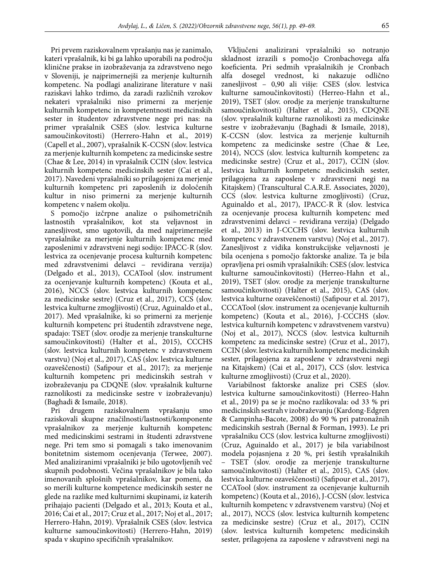Pri prvem raziskovalnem vprašanju nas je zanimalo, kateri vprašalnik, ki bi ga lahko uporabili na področju klinične prakse in izobraževanja za zdravstveno nego v Sloveniji, je najprimernejši za merjenje kulturnih kompetenc. Na podlagi analizirane literature v naši raziskavi lahko trdimo, da zaradi različnih vzrokov nekateri vprašalniki niso primerni za merjenje kulturnih kompetenc in kompetentnosti medicinskih sester in študentov zdravstvene nege pri nas: na primer vprašalnik CSES (slov. lestvica kulturne samoučinkovitosti) (Herrero-Hahn et al., 2019) (Capell et al., 2007), vprašalnik K-CCSN (slov. lestvica za merjenje kulturnih kompetenc za medicinske sestre (Chae & Lee, 2014) in vprašalnik CCIN (slov. lestvica kulturnih kompetenc medicinskih sester (Cai et al., 2017). Navedeni vprašalniki so prilagojeni za merjenje kulturnih kompetenc pri zaposlenih iz določenih kultur in niso primerni za merjenje kulturnih kompetenc v našem okolju.

S pomočjo izčrpne analize o psihometričnih lastnostih vprašalnikov, kot sta veljavnost in zanesljivost, smo ugotovili, da med najprimernejše vprašalnike za merjenje kulturnih kompetenc med zaposlenimi v zdravstveni negi sodijo: IPACC-R (slov. lestvica za ocenjevanje procesa kulturnih kompetenc med zdravstvenimi delavci – revidirana verzija) (Delgado et al., 2013), CCATool (slov. instrument za ocenjevanje kulturnih kompetenc) (Kouta et al., 2016), NCCS (slov. lestvica kulturnih kompetenc za medicinske sestre) (Cruz et al., 2017), CCS (slov. lestvica kulturne zmogljivosti) (Cruz, Aguinaldo et al., 2017). Med vprašalnike, ki so primerni za merjenje kulturnih kompetenc pri študentih zdravstvene nege, spadajo: TSET (slov. orodje za merjenje transkulturne samoučinkovitosti) (Halter et al., 2015), CCCHS (slov. lestvica kulturnih kompetenc v zdravstvenem varstvu) (Noj et al., 2017), CAS (slov. lestvica kulturne ozaveščenosti) (Safipour et al., 2017); za merjenje kulturnih kompetenc pri medicinskih sestrah v izobraževanju pa CDQNE (slov. vprašalnik kulturne raznolikosti za medicinske sestre v izobraževanju) (Baghadi & Ismaile, 2018).

Pri drugem raziskovalnem vprašanju smo raziskovali skupne značilnosti/lastnosti/komponente vprašalnikov za merjenje kulturnih kompetenc med medicinskimi sestrami in študenti zdravstvene nege. Pri tem smo si pomagali s tako imenovanim bonitetnim sistemom ocenjevanja (Terwee, 2007). Med analiziranimi vprašalniki je bilo ugotovljenih več skupnih podobnosti. Večina vprašalnikov je bila tako imenovanih splošnih vprašalnikov, kar pomeni, da so merili kulturne kompetence medicinskih sester ne glede na razlike med kulturnimi skupinami, iz katerih prihajajo pacienti (Delgado et al., 2013; Kouta et al., 2016; Cai et al., 2017; Cruz et al., 2017; Noj et al., 2017; Herrero-Hahn, 2019). Vprašalnik CSES (slov. lestvica kulturne samoučinkovitosti) (Herrero-Hahn, 2019) spada v skupino specifičnih vprašalnikov.

Vključeni analizirani vprašalniki so notranjo skladnost izrazili s pomočjo Cronbachovega alfa koeficienta. Pri sedmih vprašalnikih je Cronbach alfa dosegel vrednost, ki nakazuje odlično zanesljivost – 0,90 ali višje: CSES (slov. lestvica kulturne samoučinkovitosti) (Herreo-Hahn et al., 2019), TSET (slov. orodje za merjenje transkulturne samoučinkovitosti) (Halter et al., 2015), CDQNE (slov. vprašalnik kulturne raznolikosti za medicinske sestre v izobraževanju (Baghadi & Ismaile, 2018), K-CCSN (slov. lestvica za merjenje kulturnih kompetenc za medicinske sestre (Chae & Lee, 2014), NCCS (slov. lestvica kulturnih kompetenc za medicinske sestre) (Cruz et al., 2017), CCIN (slov. lestvica kulturnih kompetenc medicinskih sester, prilagojena za zaposlene v zdravstveni negi na Kitajskem) (Transcultural C.A.R.E. Associates, 2020), CCS (slov. lestvica kulturne zmogljivosti) (Cruz, Aguinaldo et al., 2017), IPACC-R R (slov. lestvica za ocenjevanje procesa kulturnih kompetenc med zdravstvenimi delavci – revidirana verzija) (Delgado et al., 2013) in J-CCCHS (slov. lestvica kulturnih kompetenc v zdravstvenem varstvu) (Noj et al., 2017). Zanesljivost z vidika konstrukcijske veljavnosti je bila ocenjena s pomočjo faktorske analize. Ta je bila opravljena pri osmih vprašalnikih: CSES (slov. lestvica kulturne samoučinkovitosti) (Herreo-Hahn et al., 2019), TSET (slov. orodje za merjenje transkulturne samoučinkovitosti) (Halter et al., 2015), CAS (slov. lestvica kulturne ozaveščenosti) (Safipour et al. 2017), CCCATool (slov. instrument za ocenjevanje kulturnih kompetenc) (Kouta et al., 2016), J-CCCHS (slov. lestvica kulturnih kompetenc v zdravstvenem varstvu) (Noj et al., 2017), NCCS (slov. lestvica kulturnih kompetenc za medicinske sestre) (Cruz et al., 2017), CCIN (slov. lestvica kulturnih kompetenc medicinskih sester, prilagojena za zaposlene v zdravstveni negi na Kitajskem) (Cai et al., 2017), CCS (slov. lestvica kulturne zmogljivosti) (Cruz et al., 2020).

Variabilnost faktorske analize pri CSES (slov. lestvica kulturne samoučinkovitosti) (Herreo-Hahn et al., 2019) pa se je močno razlikovala: od 33 % pri medicinskih sestrah v izobraževanju (Kardong-Edgren & Campinha-Bacote, 2008) do 90 % pri patronažnih medicinskih sestrah (Bernal & Forman, 1993). Le pri vprašalniku CCS (slov. lestvica kulturne zmogljivosti) (Cruz, Aguinaldo et al., 2017) je bila variabilnost modela pojasnjena z 20 %, pri šestih vprašalnikih – TSET (slov. orodje za merjenje transkulturne samoučinkovitosti) (Halter et al., 2015), CAS (slov. lestvica kulturne ozaveščenosti) (Safipour et al., 2017), CCATool (slov. instrument za ocenjevanje kulturnih kompetenc) (Kouta et al., 2016), J-CCSN (slov. lestvica kulturnih kompetenc v zdravstvenem varstvu) (Noj et al., 2017), NCCS (slov. lestvica kulturnih kompetenc za medicinske sestre) (Cruz et al., 2017), CCIN (slov. lestvica kulturnih kompetenc medicinskih sester, prilagojena za zaposlene v zdravstveni negi na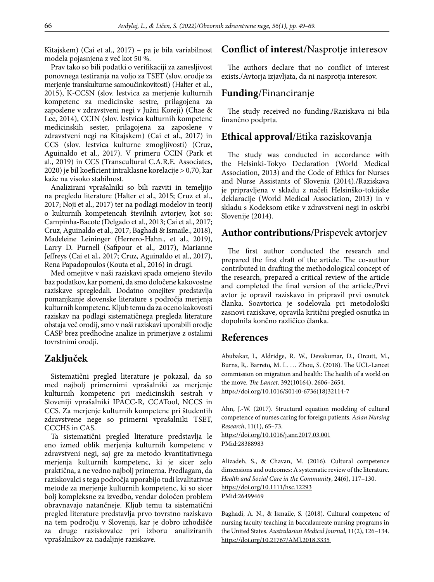Kitajskem) (Cai et al., 2017) – pa je bila variabilnost modela pojasnjena z več kot 50 %.

Prav tako so bili podatki o verifikaciji za zanesljivost ponovnega testiranja na voljo za TSET (slov. orodje za merjenje transkulturne samoučinkovitosti) (Halter et al., 2015), K-CCSN (slov. lestvica za merjenje kulturnih kompetenc za medicinske sestre, prilagojena za zaposlene v zdravstveni negi v Južni Koreji) (Chae & Lee, 2014), CCIN (slov. lestvica kulturnih kompetenc medicinskih sester, prilagojena za zaposlene v zdravstveni negi na Kitajskem) (Cai et al., 2017) in CCS (slov. lestvica kulturne zmogljivosti) (Cruz, Aguinaldo et al., 2017). V primeru CCIN (Park et al., 2019) in CCS (Transcultural C.A.R.E. Associates, 2020) je bil koeficient intraklasne korelacije > 0,70, kar kaže na visoko stabilnost.

Analizirani vprašalniki so bili razviti in temeljijo na pregledu literature (Halter et al., 2015; Cruz et al., 2017; Noji et al., 2017) ter na podlagi modelov in teorij o kulturnih kompetencah številnih avtorjev, kot so: Campinha-Bacote (Delgado et al., 2013; Cai et al., 2017; Cruz, Aguinaldo et al., 2017; Baghadi & Ismaile., 2018), Madeleine Leininger (Herrero-Hahn., et al., 2019), Larry D. Purnell (Safipour et al., 2017), Marianne Jeffreys (Cai et al., 2017; Cruz, Aguinaldo et al., 2017), Rena Papadopoulos (Kouta et al., 2016) in drugi.

Med omejitve v naši raziskavi spada omejeno število baz podatkov, kar pomeni, da smo določene kakovostne raziskave spregledali. Dodatno omejitev predstavlja pomanjkanje slovenske literature s področja merjenja kulturnih kompetenc. Kljub temu da za oceno kakovosti raziskav na podlagi sistematičnega pregleda literature obstaja več orodij, smo v naši raziskavi uporabili orodje CASP brez predhodne analize in primerjave z ostalimi tovrstnimi orodji.

# **Zaključek**

Sistematični pregled literature je pokazal, da so med najbolj primernimi vprašalniki za merjenje kulturnih kompetenc pri medicinskih sestrah v Sloveniji vprašalniki IPACC-R, CCATool, NCCS in CCS. Za merjenje kulturnih kompetenc pri študentih zdravstvene nege so primerni vprašalniki TSET, CCCHS in CAS.

Ta sistematični pregled literature predstavlja le eno izmed oblik merjenja kulturnih kompetenc v zdravstveni negi, saj gre za metodo kvantitativnega merjenja kulturnih kompetenc, ki je sicer zelo praktična, a ne vedno najbolj primerna. Predlagam, da raziskovalci s tega področja uporabijo tudi kvalitativne metode za merjenje kulturnih kompetenc, ki so sicer bolj kompleksne za izvedbo, vendar določen problem obravnavajo natančneje. Kljub temu ta sistematični pregled literature predstavlja prvo tovrstno raziskavo na tem področju v Sloveniji, kar je dobro izhodišče za druge raziskovalce pri izboru analiziranih vprašalnikov za nadaljnje raziskave.

# **Conflict of interest**/Nasprotje interesov

The authors declare that no conflict of interest exists./Avtorja izjavljata, da ni nasprotja interesov.

# **Funding**/Financiranje

The study received no funding./Raziskava ni bila finančno podprta.

# **Ethical approval**/Etika raziskovanja

The study was conducted in accordance with the Helsinki-Tokyo Declaration (World Medical Association, 2013) and the Code of Ethics for Nurses and Nurse Assistants of Slovenia (2014)./Raziskava je pripravljena v skladu z načeli Helsinško-tokijske deklaracije (World Medical Association, 2013) in v skladu s Kodeksom etike v zdravstveni negi in oskrbi Slovenije (2014).

# **Author contributions**/Prispevek avtorjev

The first author conducted the research and prepared the first draft of the article. The co-author contributed in drafting the methodological concept of the research, prepared a critical review of the article and completed the final version of the article./Prvi avtor je opravil raziskavo in pripravil prvi osnutek članka. Soavtorica je sodelovala pri metodološki zasnovi raziskave, opravila kritični pregled osnutka in dopolnila končno različico članka.

## **References**

Abubakar, I., Aldridge, R. W., Devakumar, D., Orcutt, M., Burns, R,. Barreto, M. L. … Zhou, S. (2018). The UCL-Lancet commission on migration and health: The health of a world on the move. *The Lancet,* 392(10164), 2606–2654. https://doi.org/10.1016/S0140-6736(18)32114-7

Ahn, J.-W. (2017). Structural equation modeling of cultural competence of nurses caring for foreign patients. *Asian Nursing Research*, 11(1), 65–73. https://doi.org/10.1016/j.anr.2017.03.001 PMid:28388983

Alizadeh, S., & Chavan, M. (2016). Cultural competence dimensions and outcomes: A systematic review of the literature. *Health and Social Care in the Community*, 24(6), 117–130. https://doi.org/10.1111/hsc.12293 PMid:26499469

Baghadi, A. N., & Ismaile, S. (2018). Cultural competenc of nursing faculty teaching in baccalaureate nursing programs in the United States. *Australasian Medical Journal*, 11(2), 126–134. https://doi.org/10.21767/AMJ.2018.3335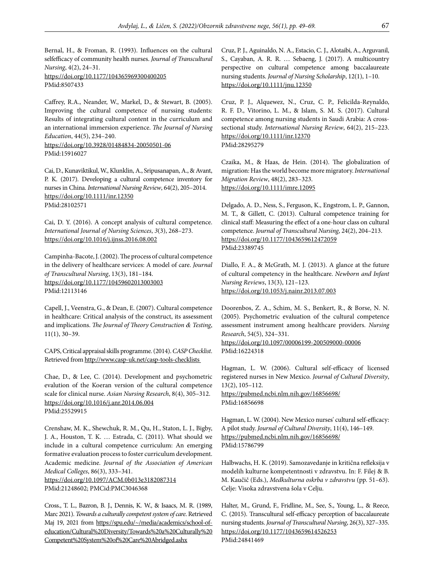Bernal, H., & Froman, R. (1993). Influences on the cultural selfefficacy of community health nurses. *Journal of Transcultural Nursing*, 4(2), 24–31. https://doi.org/10.1177/104365969300400205 PMid:8507433

Caffrey, R.A., Neander, W., Markel, D., & Stewart, B. (2005). Improving the cultural competence of nurssing students: Results of integrating cultural content in the curriculum and an international immersion experience. *The Journal of Nursing Education*, 44(5), 234–240. https://doi.org/10.3928/01484834-20050501-06 PMid:15916027

Cai, D., Kunaviktikul, W., Klunklin, A., Sripusanapan, A., & Avant, P. K. (2017). Developing a cultural competence inventory for nurses in China. *International Nursing Review*, 64(2), 205–2014. https://doi.org/10.1111/inr.12350 PMid:28102571

Cai, D. Y. (2016). A concept analysis of cultural competence. *International Journal of Nursing Sciences*, *3*(3), 268–273. https://doi.org/10.1016/j.ijnss.2016.08.002

Campinha-Bacote, J. (2002). The process of cultural competence in the delivery of healthcare services: A model of care. *Journal of Transcultural Nursing*, 13(3), 181–184. https://doi.org/10.1177/10459602013003003 PMid:12113146

Capell, J., Veenstra, G., & Dean, E. (2007). Cultural competence in healthcare: Critical analysis of the construct, its assessment and implications. *The Journal of Theory Construction & Testing*, 11(1), 30–39.

CAPS, Critical appraisal skills programme. (2014). *CASP Checklist*. Retrieved from http://www.casp-uk.net/casp-tools-checklists

Chae, D., & Lee, C. (2014). Development and psychometric evalution of the Koeran version of the cultural competence scale for clinical nurse. *Asian Nursing Research*, 8(4), 305–312. https://doi.org/10.1016/j.anr.2014.06.004 PMid:25529915

Crenshaw, M. K., Shewchuk, R. M., Qu, H., Staton, L. J., Bigby, J. A., Houston, T. K. … Estrada, C. (2011). What should we include in a cultural competence curriculum: An emerging formative evaluation process to foster curriculum development. Academic medicine. *Journal of the Association of American Medical Colleges*, 86(3), 333–341. https://doi.org/10.1097/ACM.0b013e3182087314 PMid:21248602; PMCid:PMC3046368

Cross., T. L., Bazron, B. J., Dennis, K. W., & Isaacs, M. R. (1989, Marc 2021). *Towards a culturally competent system of care*. Retrieved Maj 19, 2021 from https://spu.edu/~/media/academics/school-ofeducation/Cultural%20Diversity/Towards%20a%20Culturally%20 Competent%20System%20of%20Care%20Abridged.ashx

Cruz, P. J., Aguinaldo, N. A., Estacio, C. J., Alotaibi, A., Arguvanil, S., Cayaban, A. R. R. … Sebaeng, J. (2017). A multicountry perspective on cultural competence among baccalaureate nursing students. *Journal of Nursing Scholarship*, 12(1), 1–10. https://doi.org/10.1111/jnu.12350

Cruz, P. J., Alquewez, N., Cruz, C. P., Felicilda-Reynaldo, R. F. D., Vitorino, L. M., & Islam, S. M. S. (2017). Cultural competence among nursing students in Saudi Arabia: A crosssectional study. *International Nursing Review*, 64(2), 215–223. https://doi.org/10.1111/inr.12370 PMid:28295279

Czaika, M., & Haas, de Hein. (2014). The globalization of migration: Has the world become more migratory. *International Migration Review*, 48(2), 283–323. https://doi.org/10.1111/imre.12095

Delgado, A. D., Ness, S., Ferguson, K., Engstrom, L. P., Gannon, M. T., & Gillett, C. (2013). Cultural competence training for clinical staff: Measuring the effect of a one-hour class on cultural competence. *Journal of Transcultural Nursing*, 24(2), 204–213. https://doi.org/10.1177/1043659612472059 PMid:23389745

Diallo, F. A., & McGrath, M. J. (2013). A glance at the future of cultural competency in the healthcare. *Newborn and Infant Nursing Reviews*, 13(3), 121–123. https://doi.org/10.1053/j.nainr.2013.07.003

Doorenbos, Z. A., Schim, M. S., Benkert, R., & Borse, N. N. (2005). Psychometric evaluation of the cultural competence assessment instrument among healthcare providers. *Nursing Research*, 54(5), 324–331.

https://doi.org/10.1097/00006199-200509000-00006 PMid:16224318

Hagman, L. W. (2006). Cultural self-efficacy of licensed registered nurses in New Mexico. *Journal of Cultural Diversity*, 13(2), 105–112. https://pubmed.ncbi.nlm.nih.gov/16856698/

PMid:16856698

Hagman, L. W. (2004). New Mexico nurses' cultural self-efficacy: A pilot study. *Journal of Cultural Diversity*, 11(4), 146–149. https://pubmed.ncbi.nlm.nih.gov/16856698/ PMid:15786799

Halbwachs, H. K. (2019). Samozavedanje in kritična refleksija v modelih kulturne kompetentnosti v zdravstvu. In: F. Filej & B. M. Kaučič (Eds.), *Medkulturna oskrba v zdravstvu* (pp. 51–63). Celje: Visoka zdravstvena šola v Celju.

Halter, M., Grund, F., Fridline, M., See, S., Young, L., & Reece, C. (2015). Transcultural self-efficacy perception of baccalaureate nursing students. *Journal of Transcultural Nursing*, 26(3), 327–335. https://doi.org/10.1177/1043659614526253

PMid:24841469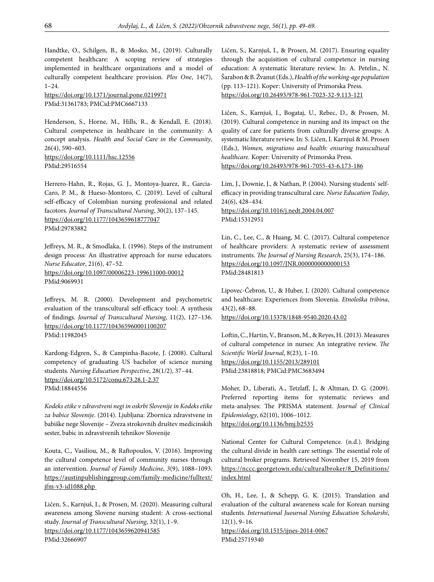Handtke, O., Schilgen, B., & Mosko, M., (2019). Culturally competent healthcare: A scoping review of strategies implemented in healthcare organizations and a model of culturally competent healthcare provision. *Plos One*, 14(7), 1–24.

https://doi.org/10.1371/journal.pone.0219971 PMid:31361783; PMCid:PMC6667133

Henderson, S., Horne, M., Hills, R., & Kendall, E. (2018). Cultural competence in healthcare in the community: A concept analysis. *Health and Social Care in the Community*, 26(4), 590–603. https://doi.org/10.1111/hsc.12556 PMid:29516554

Herrero-Hahn, R., Rojas, G. J., Montoya-Juarez, R., Garcia-Caro, P. M., & Hueso-Montoro, C. (2019). Level of cultural self-efficacy of Colombian nursing professional and related facotors. *Journal of Transcultural Nursing*, 30(2), 137–145. https://doi.org/10.1177/1043659618777047 PMid:29783882

Jeffreys, M. R., & Smodlaka, I. (1996). Steps of the instrument design process: An illustrative approach for nurse educators. *Nurse Educator*, 21(6), 47–52. https://doi.org/10.1097/00006223-199611000-00012

PMid:9069931

Jeffreys, M. R. (2000). Development and psychometric evaluation of the transcultural self-efficacy tool: A synthesis of findings. *Journal of Transcultural Nursing*, 11(2), 127–136. https://doi.org/10.1177/104365960001100207 PMid:11982045

Kardong-Edgren, S., & Campinha-Bacote, J. (2008). Cultural competency of graduating US bachelor of science nursing students. *Nursing Education Perspective*, 28(1/2), 37–44. https://doi.org/10.5172/conu.673.28.1-2.37 PMid:18844556

*Kodeks etike v zdravstveni negi in oskrbi Slovenije in Kodeks etike za babice Slovenije*. (2014). Ljubljana: Zbornica zdravstvene in babiške nege Slovenije – Zveza strokovnih društev medicinskih sester, babic in zdravstvenih tehnikov Slovenije

Kouta, C., Vasiliou, M., & Raftopoulos, V. (2016). Improving the cultural competence level of community nurses through an intervention. *Journal of Family Medicine*, *3*(9), 1088–1093. https://austinpublishinggroup.com/family-medicine/fulltext/ jfm-v3-id1088.php

Ličen, S., Karnjuš, I., & Prosen, M. (2020). Measuring cultural awareness among Slovene nursing student: A cross-sectional study. *Journal of Transcultural Nursing*, 32(1), 1–9. https://doi.org/10.1177/1043659620941585 PMid:32666907

Ličen, S., Karnjuš, I., & Prosen, M. (2017). Ensuring equality through the acquisition of cultural competence in nursing education: A systematic literature review. In: A. Petelin., N. Šarabon & B. Žvanut (Eds.), *Health of the working-age population* (pp. 113–121). Koper: University of Primorska Press. https://doi.org/10.26493/978-961-7023-32-9.113-121

Ličen, S., Karnjuš, I., Bogataj, U., Rebec, D., & Prosen, M. (2019). Cultural competence in nursing and its impact on the quality of care for patients from culturally diverse groups: A systematic literature review. In: S. Ličen, I. Karnjuš & M. Prosen (Eds.), *Women, migrations and health: ensuring transcultural healthcare.* Koper: University of Primorska Press. https://doi.org/10.26493/978-961-7055-43-6.173-186

Lim, J., Downie, J., & Nathan, P. (2004). Nursing students' selfefficacy in providing transcultural care. *Nurse Education Today*, 24(6), 428–434.

https://doi.org/10.1016/j.nedt.2004.04.007 PMid:15312951

Lin, C., Lee, C., & Huang, M. C. (2017). Cultural competence of healthcare providers: A systematic review of assessment instruments. *The Journal of Nursing Research*, 25(3), 174–186. https://doi.org/10.1097/JNR.0000000000000153 PMid:28481813

Lipovec-Čebron, U., & Huber, I. (2020). Cultural competence and healthcare: Experiences from Slovenia. *Etnološka tribina*, 43(2), 68–88.

https://doi.org/10.15378/1848-9540.2020.43.02

Loftin, C., Hartin, V., Branson, M., & Reyes, H. (2013). Measures of cultural competence in nurses: An integrative review. *The Scientific World Journal*, 8(23), 1–10. https://doi.org/10.1155/2013/289101 PMid:23818818; PMCid:PMC3683494

Moher, D., Liberati, A., Tetzlaff, J., & Altman, D. G. (2009). Preferred reporting items for systematic reviews and meta-analyses: The PRISMA statement. *Journal of Clinical Epidemiology*, 62(10), 1006–1012. https://doi.org/10.1136/bmj.b2535

National Center for Cultural Competence. (n.d.). Bridging the cultural divide in health care settings. The essential role of cultural broker programs. Retrieved November 15, 2019 from https://nccc.georgetown.edu/culturalbroker/8\_Definitions/ index.html

Oh, H., Lee, J., & Schepp, G. K. (2015). Translation and evaluation of the cultural awareness scale for Korean nursing students. *International Juournal Nursing Education Scholarshi*, 12(1), 9–16.

https://doi.org/10.1515/ijnes-2014-0067 PMid:25719340